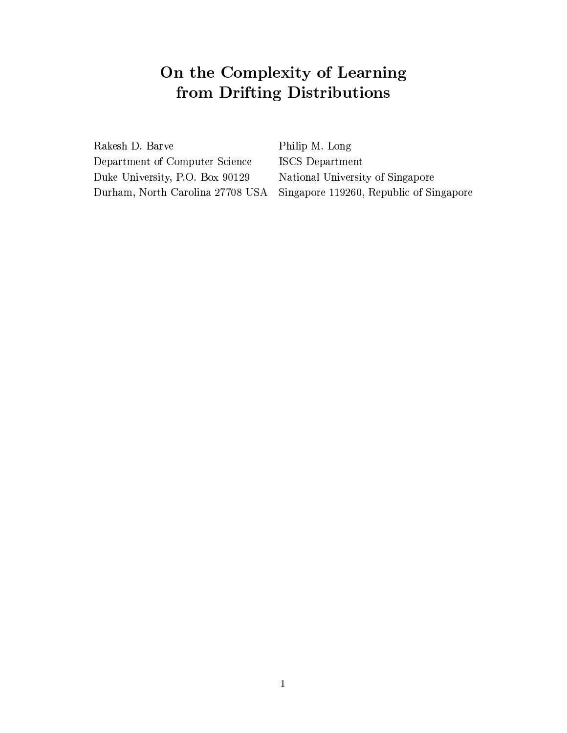# $\blacksquare$  . The set of the set of the set of the set of the set of the set of the set of the set of the set of the set of the set of the set of the set of the set of the set of the set of the set of the set of the set of the  $\bullet$  . The set of  $\bullet$  and  $\bullet$  ,  $\bullet$  ,  $\bullet$  ,  $\bullet$  ,  $\bullet$  ,  $\bullet$  ,  $\bullet$  ,  $\bullet$  ,  $\bullet$  ,  $\bullet$  ,  $\bullet$  ,  $\bullet$  ,  $\bullet$  ,  $\bullet$  ,  $\bullet$  ,  $\bullet$  ,  $\bullet$  ,  $\bullet$  ,  $\bullet$  ,  $\bullet$  ,  $\bullet$  ,  $\bullet$  ,  $\bullet$  ,  $\bullet$  ,  $\bullet$  ,  $\bullet$  ,  $\bullet$  ,  $\bullet$

Rakesh D. Barve Department of Computer Science Duke University, P.O. Box 90129 Durham, North Carolina 27708 USA

Philip M. Long ISCS Department National University of Singapore Singapore 119260, Republic of Singapore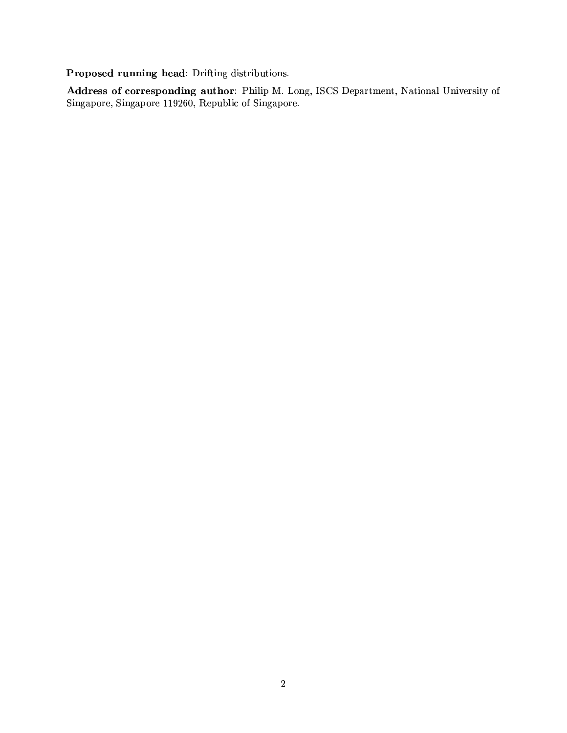Proposed running head: Drifting distributions.

Address of corresponding author: Philip M. Long, ISCS Department, National University of Singapore, Singapore 119260, Republic of Singapore.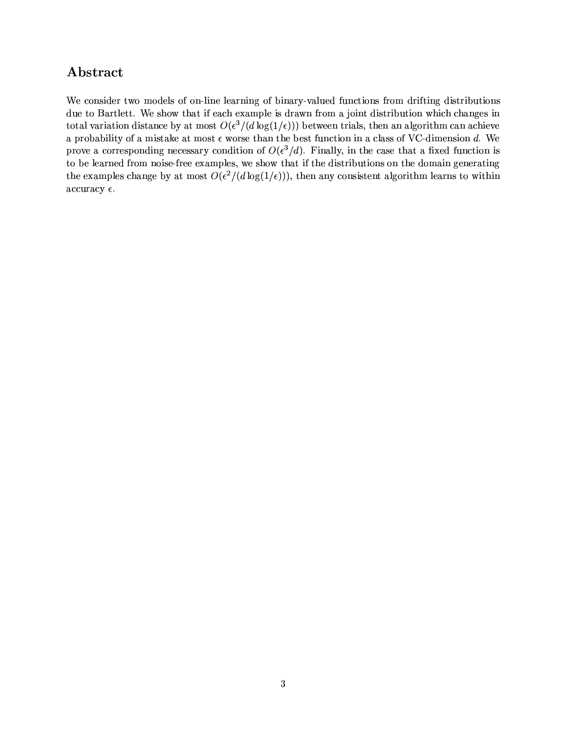## Abstract

We consider two models of on-line learning of binary-valued functions from drifting distributions due to Bartlett. We show that if each example is drawn from a joint distribution which changes in total variation distance by at most  $O(\epsilon^3/(d \log(1/\epsilon)))$  between trials, then an algorithm can achieve a probability of a mistake at most  $\epsilon$  worse than the best function in a class of VC-dimension d. We prove a corresponding necessary condition of  $O(\epsilon^3/d)$ . Finally, in the case that a fixed function is to be learned from noise-free examples, we show that if the distributions on the domain generating the examples change by at most  $O(\epsilon^2/(d \log(1/\epsilon)))$ , then any consistent algorithm learns to within accuracy  $\epsilon$ .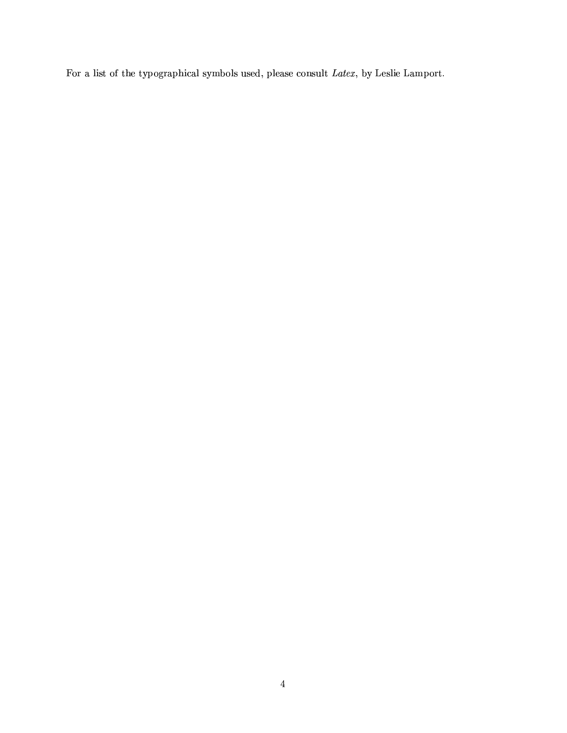For a list of the typographical symbols used, please consult Latex, by Leslie Lamport.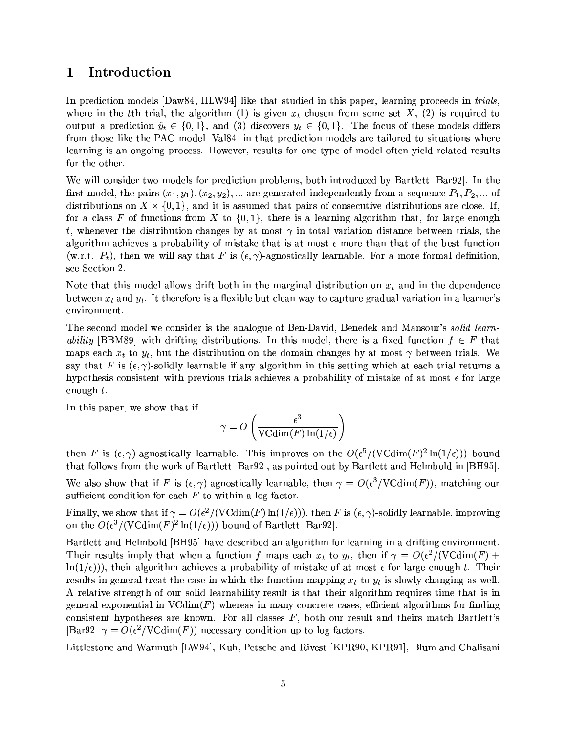#### Introduction  $\mathbf 1$

In prediction models [Daw84, HLW94] like that studied in this paper, learning proceeds in *trials*, where in the the trial, the algorithm (1) is given  $x_t$  chosen from some set X, (2) is required to output a prediction  $\hat{y}_t \in \{0,1\}$ , and (3) discovers  $y_t \in \{0,1\}$ . The focus of these models differs from those like the PAC model [Val84] in that prediction models are tailored to situations where learning is an ongoing process. However, results for one type of model often yield related results for the other.

We will consider two models for prediction problems, both introduced by Bartlett [Bar92]. In the first model, the pairs  $(x_1, y_1), (x_2, y_2), \dots$  are generated independently from a sequence  $P_1, P_2, \dots$  of distributions on  $X \times \{0,1\}$ , and it is assumed that pairs of consecutive distributions are close. If, for a class F of functions from X to  $\{0,1\}$ , there is a learning algorithm that, for large enough t, whenever the distribution changes by at most  $\gamma$  in total variation distance between trials, the algorithm achieves a probability of mistake that is at most  $\epsilon$  more than that of the best function (w.r.t.  $P_t$ ), then we will say that F is  $(\epsilon, \gamma)$ -agnostically learnable. For a more formal definition. see Section 2.

Note that this model allows drift both in the marginal distribution on  $x_t$  and in the dependence between  $x_t$  and  $y_t$ . It therefore is a flexible but clean way to capture gradual variation in a learner's environment.

The second model we consider is the analogue of Ben-David, Benedek and Mansour's *solid learn*ability [BBM89] with drifting distributions. In this model, there is a fixed function  $f \in F$  that maps each  $x_t$  to  $y_t$ , but the distribution on the domain changes by at most  $\gamma$  between trials. We say that F is  $(\epsilon, \gamma)$ -solidly learnable if any algorithm in this setting which at each trial returns a hypothesis consistent with previous trials achieves a probability of mistake of at most  $\epsilon$  for large enough  $t$ .

In this paper, we show that if

$$
\gamma = O\left(\frac{\epsilon^3}{\text{VCdim}(F)\ln(1/\epsilon)}\right)
$$

then F is  $(\epsilon, \gamma)$ -agnostically learnable. This improves on the  $O(\epsilon^5/(\text{VCdim}(F)^2 \ln(1/\epsilon)))$  bound that follows from the work of Bartlett [Bar92], as pointed out by Bartlett and Helmbold in [BH95].

We also show that if F is  $(\epsilon, \gamma)$ -agnostically learnable, then  $\gamma = O(\epsilon^3/V\text{Cdim}(F))$ , matching our sufficient condition for each  $F$  to within a log factor.

Finally, we show that if  $\gamma = O(\epsilon^2/(\text{VCdim}(F)\ln(1/\epsilon)))$ , then F is  $(\epsilon, \gamma)$ -solidly learnable, improving on the  $O(\epsilon^3/(V\text{Cdim}(F)^2\ln(1/\epsilon)))$  bound of Bartlett [Bar92].

Bartlett and Helmbold [BH95] have described an algorithm for learning in a drifting environment. Their results imply that when a function f maps each  $x_t$  to  $y_t$ , then if  $\gamma = O(\epsilon^2/(\text{VCdim}(F)) +$  $\ln(1/\epsilon)$ ), their algorithm achieves a probability of mistake of at most  $\epsilon$  for large enough t. Their results in general treat the case in which the function mapping  $x_t$  to  $y_t$  is slowly changing as well. A relative strength of our solid learnability result is that their algorithm requires time that is in general exponential in  $VCdim(F)$  whereas in many concrete cases, efficient algorithms for finding consistent hypotheses are known. For all classes  $F$ , both our result and theirs match Bartlett's [Bar92]  $\gamma = O(\epsilon^2/VCdim(F))$  necessary condition up to log factors.

Littlestone and Warmuth [LW94], Kuh, Petsche and Rivest [KPR90, KPR91], Blum and Chalisani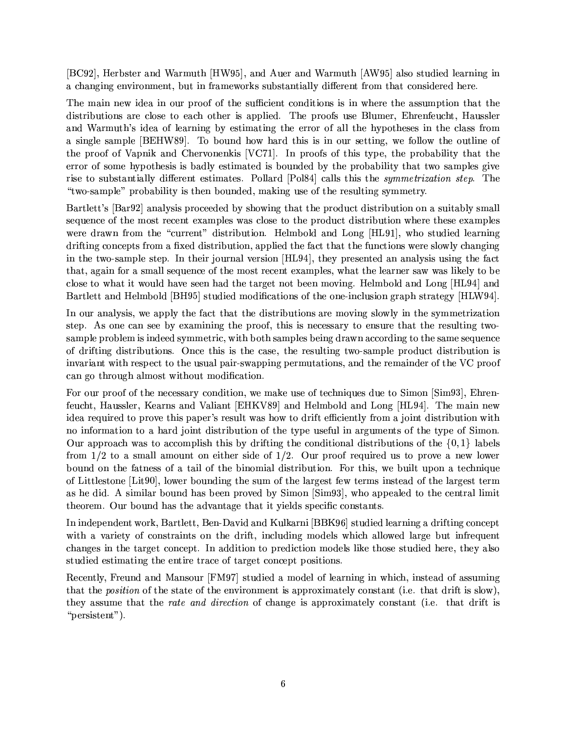[BC92], Herbster and Warmuth [HW95], and Auer and Warmuth [AW95] also studied learning in a changing environment, but in frameworks substantially different from that considered here.

The main new idea in our proof of the sufficient conditions is in where the assumption that the distributions are close to each other is applied. The proofs use Blumer, Ehrenfeucht, Haussler and Warmuth's idea of learning by estimating the error of all the hypotheses in the class from a single sample [BEHW89]. To bound how hard this is in our setting, we follow the outline of the proof of Vapnik and Chervonenkis [VC71]. In proofs of this type, the probability that the error of some hypothesis is badly estimated is bounded by the probability that two samples give rise to substantially different estimates. Pollard [Pol84] calls this the *symmetrization step*. The "two-sample" probability is then bounded, making use of the resulting symmetry.

Bartlett's [Bar92] analysis proceeded by showing that the product distribution on a suitably small sequence of the most recent examples was close to the product distribution where these examples were drawn from the "current" distribution. Helmbold and Long [HL91], who studied learning drifting concepts from a fixed distribution, applied the fact that the functions were slowly changing in the two-sample step. In their journal version [HL94], they presented an analysis using the fact that, again for a small sequence of the most recent examples, what the learner saw was likely to be close to what it would have seen had the target not been moving. Helmbold and Long [HL94] and Bartlett and Helmbold [BH95] studied modifications of the one-inclusion graph strategy [HLW94].

In our analysis, we apply the fact that the distributions are moving slowly in the symmetrization step. As one can see by examining the proof, this is necessary to ensure that the resulting twosample problem is indeed symmetric, with both samples being drawn according to the same sequence of drifting distributions. Once this is the case, the resulting two-sample product distribution is invariant with respect to the usual pair-swapping permutations, and the remainder of the VC proof can go through almost without modification.

For our proof of the necessary condition, we make use of techniques due to Simon [Sim93], Ehrenfeucht, Haussler, Kearns and Valiant [EHKV89] and Helmbold and Long [HL94]. The main new idea required to prove this paper's result was how to drift efficiently from a joint distribution with no information to a hard joint distribution of the type useful in arguments of the type of Simon. Our approach was to accomplish this by drifting the conditional distributions of the  $\{0,1\}$  labels from  $1/2$  to a small amount on either side of  $1/2$ . Our proof required us to prove a new lower bound on the fatness of a tail of the binomial distribution. For this, we built upon a technique of Littlestone [Litter], lower bounding the sum of the largest few terms instead of the largest term as he did. A similar bound has been proved by Simon [Sim93], who appealed to the central limit theorem. Our bound has the advantage that it yields specific constants.

In independent work, Bartlett, Ben-David and Kulkarni [BBK96] studied learning a drifting concept with a variety of constraints on the drift, including models which allowed large but infrequent changes in the target concept. In addition to prediction models like those studied here, they also studied estimating the entire trace of target concept positions.

Recently, Freund and Mansour [FM97] studied a model of learning in which, instead of assuming that the *position* of the state of the environment is approximately constant (i.e. that drift is slow), they assume that the *rate and direction* of change is approximately constant (i.e. that drift is "persistent").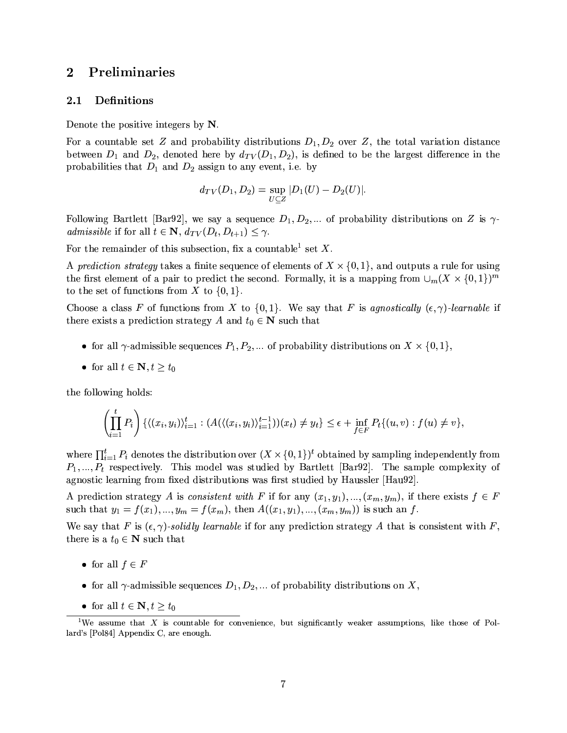#### $\bf{2}$ Preliminaries

#### 2.1 Definitions

Denote the positive integers by  $N$ .

For a countable set Z and probability distributions  $D_1, D_2$  over Z, the total variation distance between  $D_1$  and  $D_2$ , denoted here by  $d_{TV}(D_1, D_2)$ , is defined to be the largest difference in the probabilities that  $D_1$  and  $D_2$  assign to any event, i.e. by

$$
d_{TV}(D_1, D_2) = \sup_{U \subseteq Z} |D_1(U) - D_2(U)|
$$

Following Bartlett [Bar92], we say a sequence  $D_1, D_2, ...$  of probability distributions on Z is  $\gamma$ admissible if for all  $t \in \mathbb{N}$ ,  $d_{TV}(D_t, D_{t+1}) \leq \gamma$ .

For the remainder of this subsection, fix a countable<sup>1</sup> set X.

A prediction strategy takes a finite sequence of elements of  $X \times \{0,1\}$ , and outputs a rule for using the first element of a pair to predict the second. Formally, it is a mapping from  $\cup_m (X \times \{0,1\})^m$ to the set of functions from X to  $\{0,1\}$ .

Choose a class F of functions from X to  $\{0,1\}$ . We say that F is agnostically  $(\epsilon, \gamma)$ -learnable if there exists a prediction strategy A and  $t_0 \in \mathbb{N}$  such that

- for all  $\gamma$ -admissible sequences  $P_1, P_2, \dots$  of probability distributions on  $X \times \{0, 1\}$ ,
- for all  $t \in \mathbb{N}, t \geq t_0$

the following holds:

$$
\left(\prod_{i=1}^t P_i\right) \left\{ \langle (x_i, y_i) \rangle_{i=1}^t : (A(\langle (x_i, y_i) \rangle_{i=1}^{t-1}))(x_t) \neq y_t \right\} \leq \epsilon + \inf_{f \in F} P_t \{ (u, v) : f(u) \neq v \},
$$

where  $\prod_{i=1}^{t} P_i$  denotes the distribution over  $(X \times \{0,1\})^t$  obtained by sampling independently from  $P_1, ..., P_t$  respectively. This model was studied by Bartlett [Bar92]. The sample complexity of agnostic learning from fixed distributions was first studied by Haussler [Hau92].

A prediction strategy A is consistent with F if for any  $(x_1, y_1), ..., (x_m, y_m)$ , if there exists  $f \in F$ such that  $y_1 = f(x_1),..., y_m = f(x_m)$ , then  $A((x_1, y_1),..., (x_m, y_m))$  is such an f.

We say that F is  $(\epsilon, \gamma)$ -solidly learnable if for any prediction strategy A that is consistent with F, there is a  $t_0 \in \mathbb{N}$  such that

- for all  $f \in F$
- for all  $\gamma$ -admissible sequences  $D_1, D_2, \dots$  of probability distributions on X,
- for all  $t \in \mathbb{N}, t \geq t_0$

<sup>&</sup>lt;sup>1</sup>We assume that X is countable for convenience, but significantly weaker assumptions, like those of Pollard's [Pol84] Appendix C, are enough.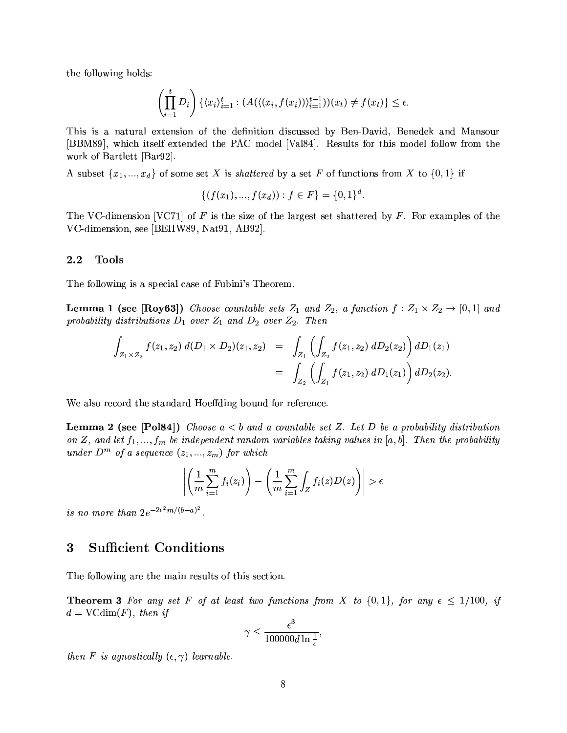the following holds:

$$
\left(\prod_{i=1}^t D_i\right)\left\{\langle x_i\rangle_{i=1}^t : (A(\langle (x_i, f(x_i))\rangle_{i=1}^{t-1}))(x_t) \neq f(x_t)\right\} \leq \epsilon.
$$

This is a natural extension of the definition discussed by Ben-David, Benedek and Mansour [BBM89], which itself extended the PAC model [Val84]. Results for this model follow from the work of Bartlett [Bar92].

A subset  $\{x_1, ..., x_d\}$  of some set X is *shattered* by a set F of functions from X to  $\{0,1\}$  if

$$
\{(f(x_1),...,f(x_d)):f\in F\}=\{0,1\}^d.
$$

The VC-dimension [VC71] of F is the size of the largest set shattered by F. For examples of the VC-dimension, see [BEHW89, Nat91, AB92].

#### 2.2 **Tools**

The following is a special case of Fubini's Theorem.

**Lemma 1 (see [Roy63])** Choose countable sets  $Z_1$  and  $Z_2$ , a function  $f: Z_1 \times Z_2 \to [0,1]$  and probability distributions  $D_1$  over  $Z_1$  and  $D_2$  over  $Z_2$ . Then

$$
\int_{Z_1 \times Z_2} f(z_1, z_2) d(D_1 \times D_2)(z_1, z_2) = \int_{Z_1} \left( \int_{Z_2} f(z_1, z_2) dD_2(z_2) \right) dD_1(z_1)
$$
  
= 
$$
\int_{Z_2} \left( \int_{Z_1} f(z_1, z_2) dD_1(z_1) \right) dD_2(z_2).
$$

We also record the standard Hoeffding bound for reference.

**Lemma 2 (see [Pol84])** Choose  $a < b$  and a countable set Z. Let D be a probability distribution on Z, and let  $f_1, ..., f_m$  be independent random variables taking values in [a, b]. Then the probability under  $D^m$  of a sequence  $(z_1, ..., z_m)$  for which

$$
\left| \left( \frac{1}{m} \sum_{i=1}^{m} f_i(z_i) \right) - \left( \frac{1}{m} \sum_{i=1}^{m} \int_Z f_i(z) D(z) \right) \right| > \epsilon
$$

is no more than  $2e^{-2\epsilon^2 m/(b-a)^2}$ .

#### **Sufficient Conditions**  $\bf{3}$

The following are the main results of this section.

**Theorem 3** For any set F of at least two functions from X to  $\{0,1\}$ , for any  $\epsilon \leq 1/100$ , if  $d = \text{VCdim}(F)$ , then if

$$
\gamma \leq \frac{\epsilon^3}{100000d\ln\frac{1}{\epsilon}},
$$

then F is agnostically  $(\epsilon, \gamma)$ -learnable.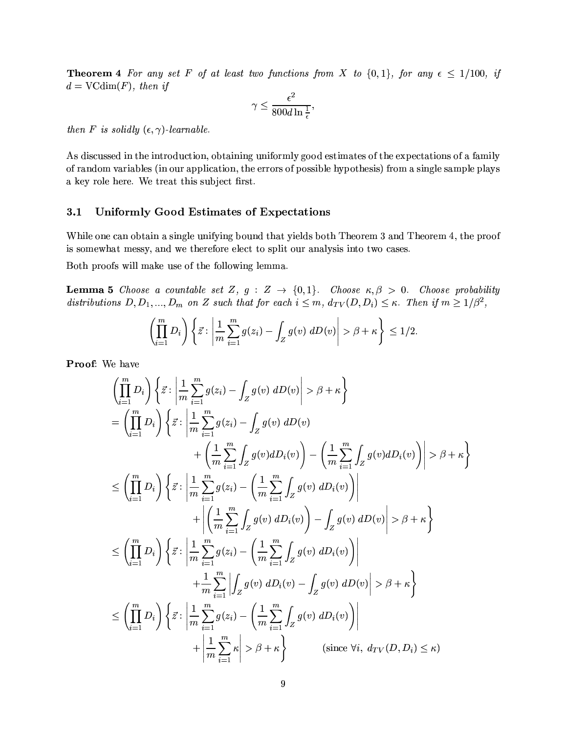**Theorem 4** For any set F of at least two functions from X to  $\{0,1\}$ , for any  $\epsilon \leq 1/100$ , if  $d = \text{VCdim}(F)$ , then if

$$
\gamma \le \frac{\epsilon^2}{800d\ln\frac{1}{\epsilon}},
$$

then F is solidly  $(\epsilon, \gamma)$ -learnable.

As discussed in the introduction, obtaining uniformly good estimates of the expectations of a family of random variables (in our application, the errors of possible hypothesis) from a single sample plays a key role here. We treat this subject first.

#### 3.1 Uniformly Good Estimates of Expectations

While one can obtain a single unifying bound that yields both Theorem 3 and Theorem 4, the proof is somewhat messy, and we therefore elect to split our analysis into two cases.

Both proofs will make use of the following lemma.

**Lemma 5** Choose a countable set Z,  $g : Z \to \{0,1\}$ . Choose  $\kappa, \beta > 0$ . Choose probability distributions  $D, D_1, ..., D_m$  on Z such that for each  $i \leq m$ ,  $d_{TV}(D, D_i) \leq \kappa$ . Then if  $m \geq 1/\beta^2$ ,

$$
\left(\prod_{i=1}^m D_i\right)\left\{\vec{z}: \left|\frac{1}{m}\sum_{i=1}^m g(z_i)-\int_Z g(v)\ dD(v)\right|>\beta+\kappa\right\}\leq 1/2.
$$

Proof: We have

$$
\left(\prod_{i=1}^{m} D_{i}\right) \left\{\vec{z} : \left|\frac{1}{m} \sum_{i=1}^{m} g(z_{i}) - \int_{Z} g(v) dD(v)\right| > \beta + \kappa\right\}\n= \left(\prod_{i=1}^{m} D_{i}\right) \left\{\vec{z} : \left|\frac{1}{m} \sum_{i=1}^{m} g(z_{i}) - \int_{Z} g(v) dD(v) + \left(\frac{1}{m} \sum_{i=1}^{m} \int_{Z} g(v) dD_{i}(v)\right) - \left(\frac{1}{m} \sum_{i=1}^{m} \int_{Z} g(v) dD_{i}(v)\right)\right| > \beta + \kappa\right\}\n\leq \left(\prod_{i=1}^{m} D_{i}\right) \left\{\vec{z} : \left|\frac{1}{m} \sum_{i=1}^{m} g(z_{i}) - \left(\frac{1}{m} \sum_{i=1}^{m} \int_{Z} g(v) dD_{i}(v)\right)\right| + \left|\left(\frac{1}{m} \sum_{i=1}^{m} \int_{Z} g(v) dD_{i}(v)\right) - \int_{Z} g(v) dD(v)\right| > \beta + \kappa\right\}\n\leq \left(\prod_{i=1}^{m} D_{i}\right) \left\{\vec{z} : \left|\frac{1}{m} \sum_{i=1}^{m} g(z_{i}) - \left(\frac{1}{m} \sum_{i=1}^{m} \int_{Z} g(v) dD_{i}(v)\right)\right| + \frac{1}{m} \sum_{i=1}^{m} \left|\int_{Z} g(v) dD_{i}(v) - \int_{Z} g(v) dD(v)\right| > \beta + \kappa\right\}\n\leq \left(\prod_{i=1}^{m} D_{i}\right) \left\{\vec{z} : \left|\frac{1}{m} \sum_{i=1}^{m} g(z_{i}) - \left(\frac{1}{m} \sum_{i=1}^{m} \int_{Z} g(v) dD_{i}(v)\right)\right| + \left|\frac{1}{m} \sum_{i=1}^{m} \kappa\right| > \beta + \kappa\right\}
$$
 (since  $\forall i, d_{TV}(D, D_{i}) \leq \kappa$ )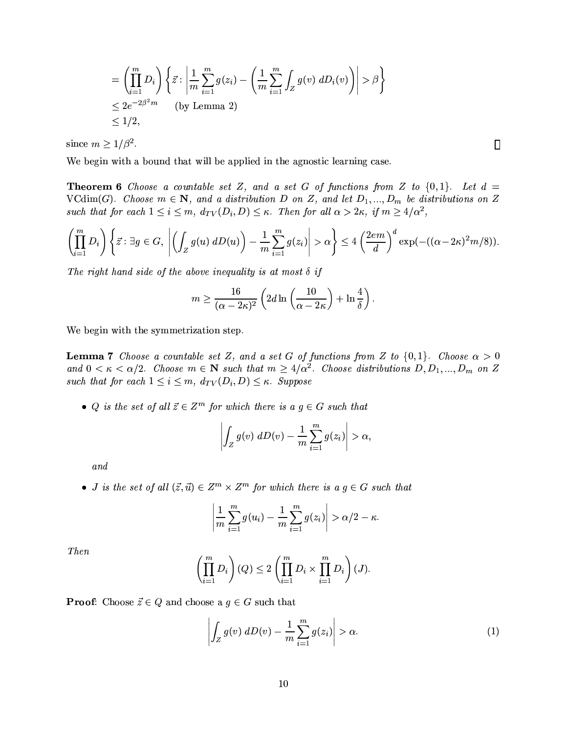$$
= \left(\prod_{i=1}^{m} D_i\right) \left\{ \vec{z} : \left| \frac{1}{m} \sum_{i=1}^{m} g(z_i) - \left( \frac{1}{m} \sum_{i=1}^{m} \int_Z g(v) dD_i(v) \right) \right| > \beta \right\}
$$
  

$$
\leq 2e^{-2\beta^2 m} \qquad \text{(by Lemma 2)}
$$
  

$$
\leq 1/2,
$$

since  $m \geq 1/\beta^2$ .

We begin with a bound that will be applied in the agnostic learning case.

**Theorem 6** Choose a countable set Z, and a set G of functions from Z to  $\{0,1\}$ . Let  $d =$ VCdim(G). Choose  $m \in \mathbb{N}$ , and a distribution D on Z, and let  $D_1, ..., D_m$  be distributions on Z such that for each  $1 \leq i \leq m$ ,  $d_{TV}(D_i, D) \leq \kappa$ . Then for all  $\alpha > 2\kappa$ , if  $m \geq 4/\alpha^2$ ,

$$
\left(\prod_{i=1}^m D_i\right)\left\{\vec{z}: \exists g\in G, \left|\left(\int_Z g(u) dD(u)\right)-\frac{1}{m}\sum_{i=1}^m g(z_i)\right|>\alpha\right\}\leq 4\left(\frac{2em}{d}\right)^d \exp(-( (\alpha-2\kappa)^2m/8)).
$$

The right hand side of the above inequality is at most  $\delta$  if

$$
m \ge \frac{16}{(\alpha - 2\kappa)^2} \left( 2d \ln \left( \frac{10}{\alpha - 2\kappa} \right) + \ln \frac{4}{\delta} \right).
$$

We begin with the symmetrization step.

**Lemma 7** Choose a countable set Z, and a set G of functions from Z to  $\{0,1\}$ . Choose  $\alpha > 0$ and  $0 < \kappa < \alpha/2$ . Choose  $m \in \mathbb{N}$  such that  $m \geq 4/\alpha^2$ . Choose distributions  $D, D_1, ..., D_m$  on Z such that for each  $1 \leq i \leq m$ ,  $d_{TV}(D_i, D) \leq \kappa$ . Suppose

• Q is the set of all  $\vec{z} \in \mathbb{Z}^m$  for which there is a  $g \in G$  such that

$$
\left| \int_Z g(v) \ dD(v) - \frac{1}{m} \sum_{i=1}^m g(z_i) \right| > \alpha,
$$

and

• *J* is the set of all  $(\vec{z}, \vec{u}) \in Z^m \times Z^m$  for which there is a  $g \in G$  such that

$$
\left|\frac{1}{m}\sum_{i=1}^m g(u_i)-\frac{1}{m}\sum_{i=1}^m g(z_i)\right|>\alpha/2-\kappa.
$$

**Then** 

$$
\left(\prod_{i=1}^m D_i\right)(Q) \le 2\left(\prod_{i=1}^m D_i \times \prod_{i=1}^m D_i\right)(J).
$$

**Proof:** Choose  $\vec{z} \in Q$  and choose a  $g \in G$  such that

$$
\left| \int_{Z} g(v) \ dD(v) - \frac{1}{m} \sum_{i=1}^{m} g(z_i) \right| > \alpha. \tag{1}
$$

 $\Box$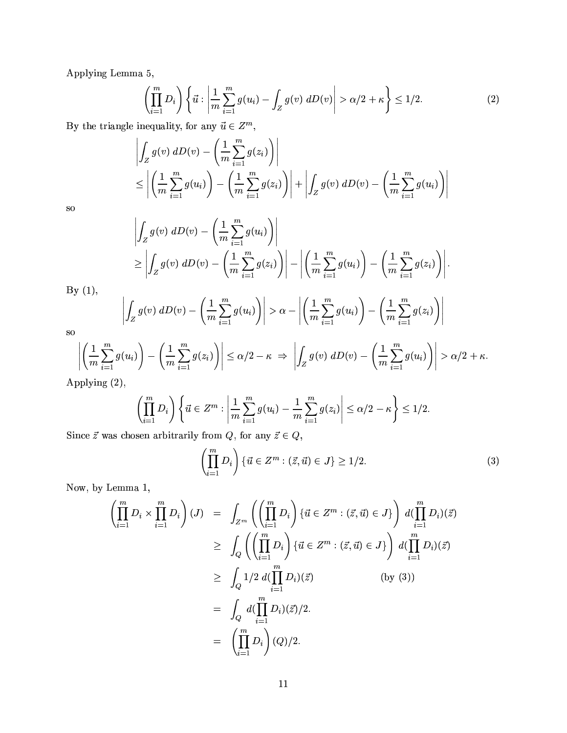Applying Lemma 5,

$$
\left(\prod_{i=1}^{m} D_i\right) \left\{ \vec{u} : \left| \frac{1}{m} \sum_{i=1}^{m} g(u_i) - \int_{Z} g(v) \ dD(v) \right| > \alpha/2 + \kappa \right\} \le 1/2. \tag{2}
$$

By the triangle inequality, for any  $\vec{u} \in Z^m$ ,

$$
\left| \int_Z g(v) dD(v) - \left( \frac{1}{m} \sum_{i=1}^m g(z_i) \right) \right|
$$
  
\n
$$
\leq \left| \left( \frac{1}{m} \sum_{i=1}^m g(u_i) \right) - \left( \frac{1}{m} \sum_{i=1}^m g(z_i) \right) \right| + \left| \int_Z g(v) dD(v) - \left( \frac{1}{m} \sum_{i=1}^m g(u_i) \right) \right|
$$

<sub>SO</sub>

$$
\begin{aligned} &\left|\int_Z g(v)\;dD(v)-\left(\frac{1}{m}\sum\limits_{i=1}^mg(u_i)\right)\right|\\ &\geq \left|\int_Z g(v)\;dD(v)-\left(\frac{1}{m}\sum\limits_{i=1}^mg(z_i)\right)\right|-\left|\left(\frac{1}{m}\sum\limits_{i=1}^mg(u_i)\right)-\left(\frac{1}{m}\sum\limits_{i=1}^mg(z_i)\right)\right|.\\ &\left|\int_Z g(v)\;dD(v)-\left(\frac{1}{m}\sum\limits_{i=1}^mg(u_i)\right)\right|>\alpha-\left|\left(\frac{1}{m}\sum\limits_{i=1}^mg(u_i)\right)-\left(\frac{1}{m}\sum\limits_{i=1}^mg(z_i)\right)\right|\end{aligned}
$$

<sub>so</sub>

By  $(1)$ ,

$$
\left(\frac{1}{m}\sum_{i=1}^{m}g(u_i)\right) - \left(\frac{1}{m}\sum_{i=1}^{m}g(z_i)\right) \le \alpha/2 - \kappa \Rightarrow \left|\int_Z g(v) dD(v) - \left(\frac{1}{m}\sum_{i=1}^{m}g(u_i)\right)\right| > \alpha/2 + \kappa.
$$

Applying (2),

$$
\left(\prod_{i=1}^{m} D_i\right) \left\{\vec{u} \in Z^m : \left|\frac{1}{m} \sum_{i=1}^{m} g(u_i) - \frac{1}{m} \sum_{i=1}^{m} g(z_i)\right| \le \alpha/2 - \kappa\right\} \le 1/2
$$

Since  $\vec{z}$  was chosen arbitrarily from  $Q$ , for any  $\vec{z} \in Q$ ,

$$
\left(\prod_{i=1}^{m} D_i\right) \left\{ \vec{u} \in Z^m : \left(\vec{z}, \vec{u}\right) \in J \right\} \ge 1/2. \tag{3}
$$

Now, by Lemma 1,

$$
\left(\prod_{i=1}^{m} D_i \times \prod_{i=1}^{m} D_i\right) (J) = \int_{Z^m} \left(\left(\prod_{i=1}^{m} D_i\right) \{ \vec{u} \in Z^m : (\vec{z}, \vec{u}) \in J \} \right) d(\prod_{i=1}^{m} D_i) (\vec{z})
$$
\n
$$
\geq \int_Q \left(\left(\prod_{i=1}^{m} D_i\right) \{ \vec{u} \in Z^m : (\vec{z}, \vec{u}) \in J \} \right) d(\prod_{i=1}^{m} D_i) (\vec{z})
$$
\n
$$
\geq \int_Q 1/2 d(\prod_{i=1}^{m} D_i) (\vec{z}) \qquad \text{(by (3))}
$$
\n
$$
= \int_Q d(\prod_{i=1}^{m} D_i) (\vec{z})/2.
$$
\n
$$
= \left(\prod_{i=1}^{m} D_i\right) (Q)/2.
$$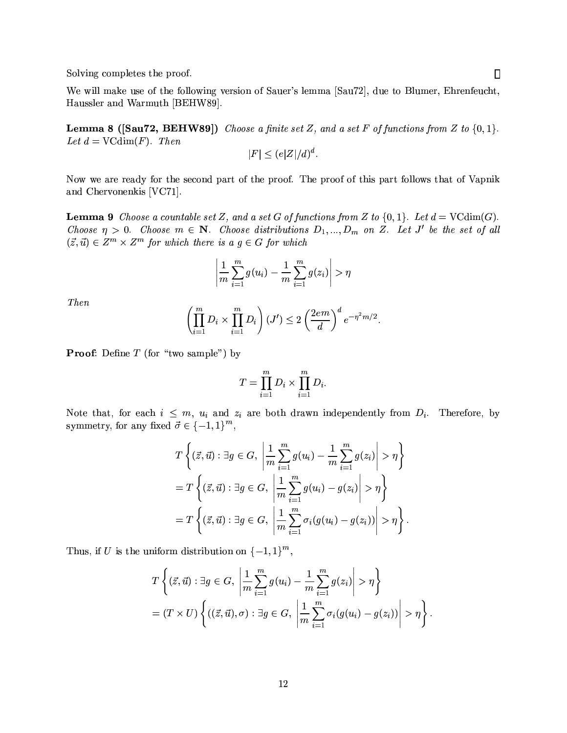Solving completes the proof.

We will make use of the following version of Sauer's lemma [Sau72], due to Blumer, Ehrenfeucht, Haussler and Warmuth [BEHW89].

**Lemma 8 ([Sau72, BEHW89])** Choose a finite set Z, and a set F of functions from Z to  $\{0,1\}$ . Let  $d = \text{VCdim}(F)$ . Then

$$
|F| \le (e|Z|/d)^d.
$$

Now we are ready for the second part of the proof. The proof of this part follows that of Vapnik and Chervonenkis [VC71].

**Lemma 9** Choose a countable set Z, and a set G of functions from Z to  $\{0,1\}$ . Let  $d = \text{VCdim}(G)$ . Choose  $\eta > 0$ . Choose  $m \in \mathbb{N}$ . Choose distributions  $D_1, ..., D_m$  on Z. Let J' be the set of all  $(\vec{z}, \vec{u}) \in Z^m \times Z^m$  for which there is a  $g \in G$  for which

$$
\left|\frac{1}{m}\sum_{i=1}^m g(u_i)-\frac{1}{m}\sum_{i=1}^m g(z_i)\right|>\eta
$$

*Then* 

$$
\left(\prod_{i=1}^m D_i \times \prod_{i=1}^m D_i\right) (J') \le 2 \left(\frac{2em}{d}\right)^d e^{-\eta^2 m/2}
$$

**Proof:** Define  $T$  (for "two sample") by

$$
T=\prod_{i=1}^m D_i\times\prod_{i=1}^m D_i.
$$

Note that, for each  $i \leq m$ ,  $u_i$  and  $z_i$  are both drawn independently from  $D_i$ . Therefore, by symmetry, for any fixed  $\vec{\sigma} \in \{-1, 1\}^m$ ,

$$
T\left\{ (\vec{z}, \vec{u}) : \exists g \in G, \left| \frac{1}{m} \sum_{i=1}^{m} g(u_i) - \frac{1}{m} \sum_{i=1}^{m} g(z_i) \right| > \eta \right\}
$$
  
= 
$$
T\left\{ (\vec{z}, \vec{u}) : \exists g \in G, \left| \frac{1}{m} \sum_{i=1}^{m} g(u_i) - g(z_i) \right| > \eta \right\}
$$
  
= 
$$
T\left\{ (\vec{z}, \vec{u}) : \exists g \in G, \left| \frac{1}{m} \sum_{i=1}^{m} \sigma_i (g(u_i) - g(z_i)) \right| > \eta \right\}.
$$

Thus, if U is the uniform distribution on  $\{-1,1\}^m$ ,

$$
T\left\{ (\vec{z},\vec{u}) : \exists g \in G, \left| \frac{1}{m} \sum_{i=1}^{m} g(u_i) - \frac{1}{m} \sum_{i=1}^{m} g(z_i) \right| > \eta \right\}
$$
  
=  $(T \times U) \left\{ ((\vec{z},\vec{u}),\sigma) : \exists g \in G, \left| \frac{1}{m} \sum_{i=1}^{m} \sigma_i (g(u_i) - g(z_i)) \right| > \eta \right\}.$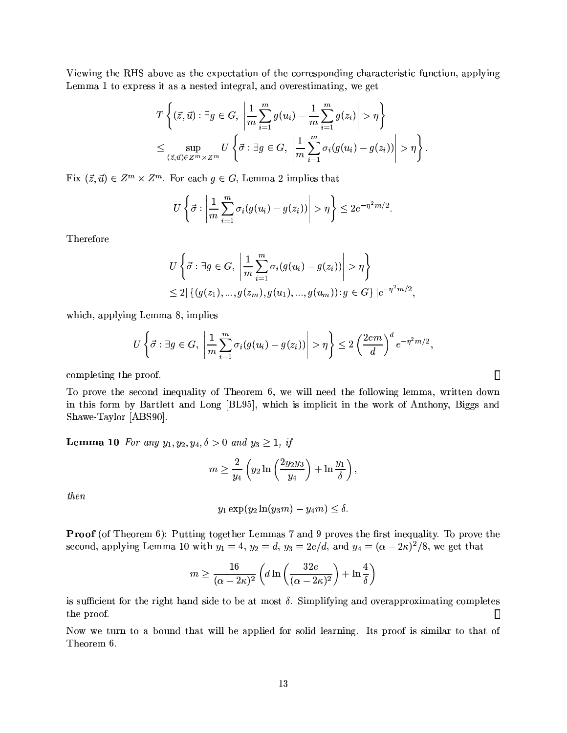Viewing the RHS above as the expectation of the corresponding characteristic function, applying Lemma 1 to express it as a nested integral, and overestimating, we get

$$
T\left\{ (\vec{z}, \vec{u}) : \exists g \in G, \left| \frac{1}{m} \sum_{i=1}^{m} g(u_i) - \frac{1}{m} \sum_{i=1}^{m} g(z_i) \right| > \eta \right\}
$$
  

$$
\leq \sup_{(\vec{z}, \vec{u}) \in Z^m \times Z^m} U\left\{ \vec{\sigma} : \exists g \in G, \left| \frac{1}{m} \sum_{i=1}^{m} \sigma_i (g(u_i) - g(z_i)) \right| > \eta \right\}
$$

Fix  $(\vec{z}, \vec{u}) \in Z^m \times Z^m$ . For each  $g \in G$ , Lemma 2 implies that

$$
U\left\{\vec{\sigma}:\left|\frac{1}{m}\sum_{i=1}^m\sigma_i(g(u_i)-g(z_i))\right|>\eta\right\}\leq 2e^{-\eta^2m/2}
$$

Therefore

$$
U\left\{\vec{\sigma} : \exists g \in G, \left|\frac{1}{m} \sum_{i=1}^{m} \sigma_i(g(u_i) - g(z_i))\right| > \eta\right\}
$$
  
\$\leq 2 \mid \{(g(z\_1), ..., g(z\_m), g(u\_1), ..., g(u\_m)) : g \in G\} \mid e^{-\eta^2 m/2}\$,

which, applying Lemma 8, implies

$$
U\left\{\vec{\sigma}:\exists g\in G,\ \left|\frac{1}{m}\sum_{i=1}^m\sigma_i(g(u_i)-g(z_i))\right|>\eta\right\}\leq 2\left(\frac{2em}{d}\right)^de^{-\eta^2m/2},\
$$

completing the proof.

To prove the second inequality of Theorem 6, we will need the following lemma, written down in this form by Bartlett and Long [BL95], which is implicit in the work of Anthony, Biggs and Shawe-Taylor [ABS90].

**Lemma 10** For any  $y_1, y_2, y_4, \delta > 0$  and  $y_3 \ge 1$ , if

$$
m \ge \frac{2}{y_4} \left( y_2 \ln \left( \frac{2y_2 y_3}{y_4} \right) + \ln \frac{y_1}{\delta} \right),
$$

then

$$
y_1 \exp(y_2 \ln(y_3 m) - y_4 m) \le \delta.
$$

**Proof** (of Theorem 6): Putting together Lemmas 7 and 9 proves the first inequality. To prove the second, applying Lemma 10 with  $y_1 = 4$ ,  $y_2 = d$ ,  $y_3 = 2e/d$ , and  $y_4 = (\alpha - 2\kappa)^2/8$ , we get that

$$
m \ge \frac{16}{(\alpha - 2\kappa)^2} \left( d \ln \left( \frac{32e}{(\alpha - 2\kappa)^2} \right) + \ln \frac{4}{\delta} \right)
$$

is sufficient for the right hand side to be at most  $\delta$ . Simplifying and overapproximating completes the proof.  $\Box$ 

Now we turn to a bound that will be applied for solid learning. Its proof is similar to that of Theorem 6.

 $\Box$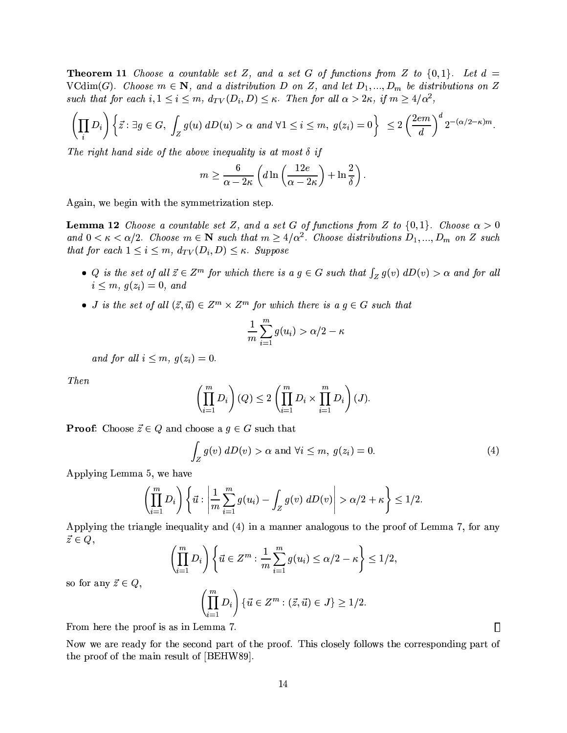**Theorem 11** Choose a countable set Z, and a set G of functions from Z to  $\{0,1\}$ . Let  $d =$ VCdim(G). Choose  $m \in \mathbb{N}$ , and a distribution D on Z, and let  $D_1, ..., D_m$  be distributions on Z such that for each  $i, 1 \leq i \leq m$ ,  $d_{TV}(D_i, D) \leq \kappa$ . Then for all  $\alpha > 2\kappa$ , if  $m \geq 4/\alpha^2$ ,

$$
\left(\prod_i D_i\right)\left\{\vec{z}:\exists g\in G,\ \int_Z g(u)\ dD(u) > \alpha\ and\ \forall 1\leq i\leq m,\ \ g(z_i)=0\right\}\ \leq 2\left(\frac{2em}{d}\right)^d 2^{-(\alpha/2-\kappa)m}.
$$

The right hand side of the above inequality is at most  $\delta$  if

$$
m \geq \frac{6}{\alpha - 2\kappa} \left( d \ln \left( \frac{12e}{\alpha - 2\kappa} \right) + \ln \frac{2}{\delta} \right).
$$

Again, we begin with the symmetrization step.

**Lemma 12** Choose a countable set Z, and a set G of functions from Z to  $\{0,1\}$ . Choose  $\alpha > 0$ and  $0 < \kappa < \alpha/2$ . Choose  $m \in \mathbb{N}$  such that  $m \geq 4/\alpha^2$ . Choose distributions  $D_1, ..., D_m$  on Z such that for each  $1 \leq i \leq m$ ,  $d_{TV}(D_i, D) \leq \kappa$ . Suppose

- Q is the set of all  $\vec{z} \in Z^m$  for which there is a  $g \in G$  such that  $\int_Z g(v) dD(v) > \alpha$  and for all  $i \leq m, g(z_i) = 0, and$
- *J* is the set of all  $(\vec{z}, \vec{u}) \in Z^m \times Z^m$  for which there is  $a \, g \in G$  such that

$$
\frac{1}{m}\sum_{i=1}^m g(u_i) > \alpha/2 - \kappa
$$

and for all  $i \leq m, g(z_i) = 0$ .

*Then* 

$$
\left(\prod_{i=1}^{m} D_{i}\right)(Q) \le 2\left(\prod_{i=1}^{m} D_{i} \times \prod_{i=1}^{m} D_{i}\right)(J).
$$

**Proof:** Choose  $\vec{z} \in Q$  and choose a  $g \in G$  such that

$$
\int_{Z} g(v) dD(v) > \alpha \text{ and } \forall i \leq m, g(z_i) = 0.
$$
\n(4)

Applying Lemma 5, we have

$$
\left(\prod_{i=1}^m D_i\right)\left\{\vec{u}: \left|\frac{1}{m}\sum_{i=1}^m g(u_i)-\int_Z g(v)\ dD(v)\right|>\alpha/2+\kappa\right\}\leq 1/2.
$$

Applying the triangle inequality and (4) in a manner analogous to the proof of Lemma 7, for any  $\vec{z} \in Q,$ 

$$
\left(\prod_{i=1}^m D_i\right)\left\{\vec{u}\in Z^m:\frac{1}{m}\sum_{i=1}^m g(u_i)\leq \alpha/2-\kappa\right\}\leq 1/2,
$$

so for any  $\vec{z} \in Q$ ,

$$
\left(\prod_{i=1}^m D_i\right)\{\vec{u}\in Z^m : (\vec{z},\vec{u})\in J\} \ge 1/2.
$$

From here the proof is as in Lemma 7.

Now we are ready for the second part of the proof. This closely follows the corresponding part of the proof of the main result of [BEHW89].

 $\Box$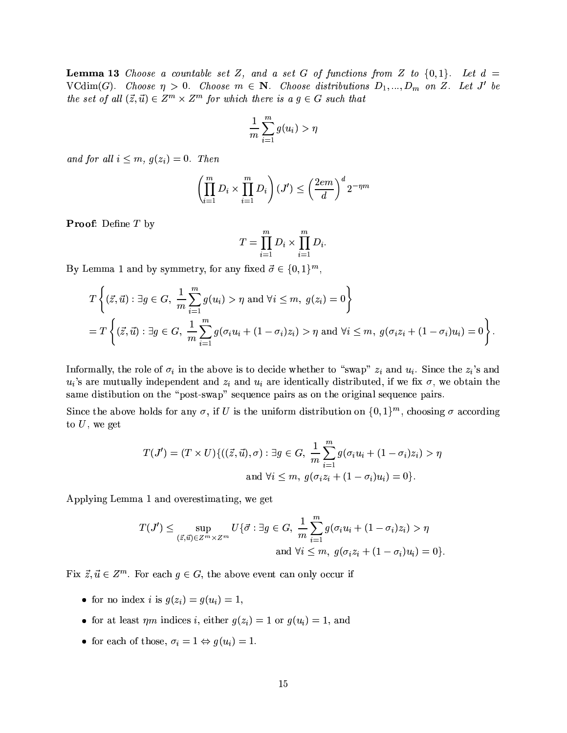**Lemma 13** Choose a countable set Z, and a set G of functions from Z to  $\{0,1\}$ . Let  $d =$ VCdim(G). Choose  $\eta > 0$ . Choose  $m \in \mathbb{N}$ . Choose distributions  $D_1, ..., D_m$  on Z. Let J' be the set of all  $(\vec{z}, \vec{u}) \in Z^m \times Z^m$  for which there is a  $g \in G$  such that

$$
\frac{1}{m}\sum_{i=1}^m g(u_i) > \eta
$$

and for all  $i \leq m$ ,  $g(z_i) = 0$ . Then

$$
\left(\prod_{i=1}^{m} D_i \times \prod_{i=1}^{m} D_i\right) (J') \le \left(\frac{2em}{d}\right)^d 2^{-\eta m}
$$

**Proof:** Define T by

$$
T = \prod_{i=1}^{m} D_i \times \prod_{i=1}^{m} D_i
$$

By Lemma 1 and by symmetry, for any fixed  $\vec{\sigma} \in \{0,1\}^m$ ,

$$
T\left\{ (\vec{z},\vec{u}) : \exists g \in G, \frac{1}{m} \sum_{i=1}^{m} g(u_i) > \eta \text{ and } \forall i \leq m, g(z_i) = 0 \right\}
$$
  
= 
$$
T\left\{ (\vec{z},\vec{u}) : \exists g \in G, \frac{1}{m} \sum_{i=1}^{m} g(\sigma_i u_i + (1-\sigma_i)z_i) > \eta \text{ and } \forall i \leq m, g(\sigma_i z_i + (1-\sigma_i)u_i) = 0 \right\}.
$$

Informally, the role of  $\sigma_i$  in the above is to decide whether to "swap"  $z_i$  and  $u_i$ . Since the  $z_i$ 's and  $u_i$ 's are mutually independent and  $z_i$  and  $u_i$  are identically distributed, if we fix  $\sigma$ , we obtain the same distibution on the "post-swap" sequence pairs as on the original sequence pairs.

Since the above holds for any  $\sigma$ , if U is the uniform distribution on  $\{0,1\}^m$ , choosing  $\sigma$  according to  $U$ , we get

$$
T(J') = (T \times U) \{ ((\vec{z}, \vec{u}), \sigma) : \exists g \in G, \frac{1}{m} \sum_{i=1}^{m} g(\sigma_i u_i + (1 - \sigma_i)z_i) > \eta \text{ and } \forall i \leq m, g(\sigma_i z_i + (1 - \sigma_i)u_i) = 0 \}.
$$

Applying Lemma 1 and overestimating, we get

$$
T(J') \leq \sup_{(\vec{z},\vec{u}) \in Z^m \times Z^m} U\{\vec{\sigma} : \exists g \in G, \frac{1}{m} \sum_{i=1}^m g(\sigma_i u_i + (1 - \sigma_i)z_i) > \eta
$$
  
and  $\forall i \leq m, g(\sigma_i z_i + (1 - \sigma_i)u_i) = 0\}.$ 

Fix  $\vec{z}, \vec{u} \in Z^m$ . For each  $g \in G$ , the above event can only occur if

- for no index *i* is  $q(z_i) = q(u_i) = 1$ ,
- for at least  $\eta m$  indices i, either  $g(z_i) = 1$  or  $g(u_i) = 1$ , and
- for each of those,  $\sigma_i = 1 \Leftrightarrow g(u_i) = 1$ .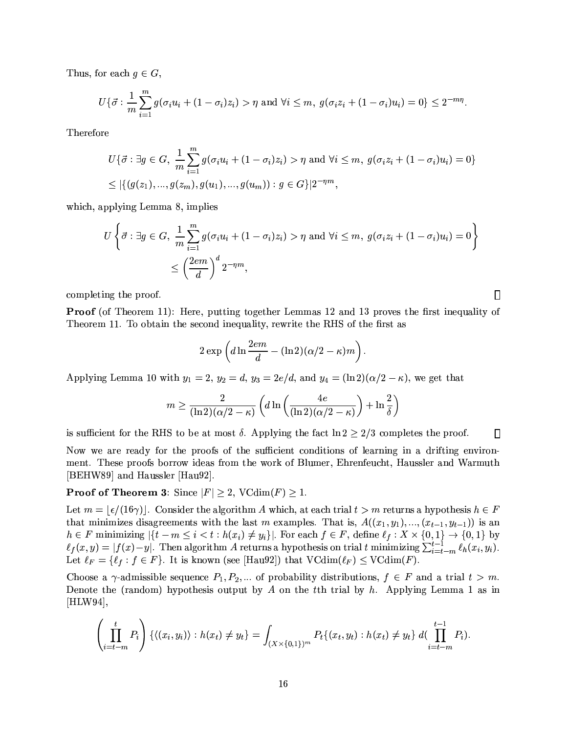Thus, for each  $g \in G$ ,

$$
U\{\vec{\sigma} : \frac{1}{m}\sum_{i=1}^{m} g(\sigma_i u_i + (1-\sigma_i)z_i) > \eta \text{ and } \forall i \leq m, g(\sigma_i z_i + (1-\sigma_i)u_i) = 0\} \leq 2^{-m\eta}.
$$

Therefore

$$
U\{\vec{\sigma} : \exists g \in G, \frac{1}{m} \sum_{i=1}^{m} g(\sigma_i u_i + (1 - \sigma_i)z_i) > \eta \text{ and } \forall i \leq m, g(\sigma_i z_i + (1 - \sigma_i)u_i) = 0\}
$$
  
\n
$$
\leq |\{(g(z_1), ..., g(z_m), g(u_1), ..., g(u_m)) : g \in G\}|2^{-\eta m},
$$

which, applying Lemma 8, implies

$$
U\left\{\vec{\sigma} : \exists g \in G, \ \frac{1}{m} \sum_{i=1}^{m} g(\sigma_i u_i + (1 - \sigma_i)z_i) > \eta \text{ and } \forall i \leq m, \ g(\sigma_i z_i + (1 - \sigma_i)u_i) = 0\right\}
$$

$$
\leq \left(\frac{2em}{d}\right)^d 2^{-\eta m},
$$

 $\Box$ 

 $\Box$ 

completing the proof.

**Proof** (of Theorem 11): Here, putting together Lemmas 12 and 13 proves the first inequality of Theorem 11. To obtain the second inequality, rewrite the RHS of the first as

$$
2\exp\left(d\ln\frac{2em}{d}-(\ln 2)(\alpha/2-\kappa)m\right)
$$

Applying Lemma 10 with  $y_1 = 2$ ,  $y_2 = d$ ,  $y_3 = 2e/d$ , and  $y_4 = (\ln 2)(\alpha/2 - \kappa)$ , we get that

$$
m \ge \frac{2}{(\ln 2)(\alpha/2 - \kappa)} \left( d \ln \left( \frac{4e}{(\ln 2)(\alpha/2 - \kappa)} \right) + \ln \frac{2}{\delta} \right)
$$

is sufficient for the RHS to be at most  $\delta$ . Applying the fact  $\ln 2 \geq 2/3$  completes the proof.

Now we are ready for the proofs of the sufficient conditions of learning in a drifting environment. These proofs borrow ideas from the work of Blumer, Ehrenfeucht, Haussler and Warmuth [BEHW89] and Haussler [Hau92].

### **Proof of Theorem 3:** Since  $|F| \ge 2$ , VCdim $(F) \ge 1$ .

Let  $m = \lfloor \frac{\epsilon}{16\gamma} \rfloor$ . Consider the algorithm A which, at each trial  $t > m$  returns a hypothesis  $h \in F$ that minimizes disagreements with the last m examples. That is,  $A((x_1, y_1), ..., (x_{t-1}, y_{t-1}))$  is an  $h \in F$  minimizing  $|\{t-m \leq i < t : h(x_i) \neq y_i\}|$ . For each  $f \in F$ , define  $\ell_f: X \times \{0,1\} \to \{0,1\}$  by  $\ell_f(x,y) = |f(x)-y|$ . Then algorithm A returns a hypothesis on trial t minimizing  $\sum_{i=t-m}^{t-1} \ell_h(x_i, y_i)$ . Let  $\ell_F = \{\ell_f : f \in F\}$ . It is known (see [Hau92]) that  $VCdim(\ell_F) \le VCdim(F)$ .

Choose a  $\gamma$ -admissible sequence  $P_1, P_2, \dots$  of probability distributions,  $f \in F$  and a trial  $t > m$ . Denote the (random) hypothesis output by A on the tth trial by  $h$ . Applying Lemma 1 as in  $[HLW94],$ 

$$
\left(\prod_{i=t-m}^{t} P_i\right) \{ \langle (x_i, y_i) \rangle : h(x_t) \neq y_t \} = \int_{(X \times \{0,1\})^m} P_t \{ (x_t, y_t) : h(x_t) \neq y_t \} d(\prod_{i=t-m}^{t-1} P_i).
$$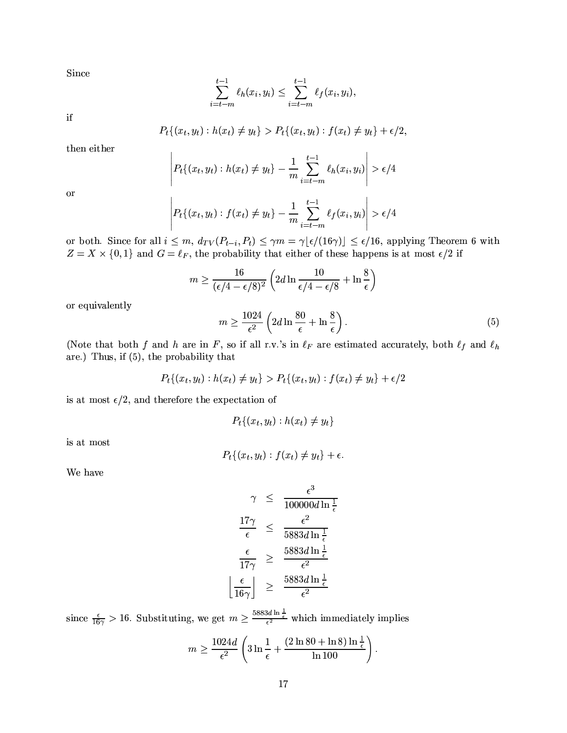Since

$$
\sum_{i=t-m}^{t-1} \ell_h(x_i, y_i) \leq \sum_{i=t-m}^{t-1} \ell_f(x_i, y_i),
$$

 $_{\rm if}$ 

$$
P_t\{(x_t, y_t): h(x_t) \neq y_t\} > P_t\{(x_t, y_t): f(x_t) \neq y_t\} + \epsilon/2.
$$

then either

$$
P_t\{(x_t, y_t): h(x_t) \neq y_t\} - \frac{1}{m} \sum_{i=t-m}^{t-1} \ell_h(x_i, y_i) \geq \epsilon/4
$$

**or** 

$$
\left| P_t \{ (x_t, y_t) : f(x_t) \neq y_t \} - \frac{1}{m} \sum_{i=t-m}^{t-1} \ell_f(x_i, y_i) \right| > \epsilon/4
$$

or both. Since for all  $i \leq m$ ,  $d_{TV}(P_{t-i}, P_t) \leq \gamma m = \gamma \lfloor \epsilon/(16\gamma) \rfloor \leq \epsilon/16$ , applying Theorem 6 with  $Z = X \times \{0,1\}$  and  $G = \ell_F$ , the probability that either of these happens is at most  $\epsilon/2$  if

$$
m \ge \frac{16}{(\epsilon/4 - \epsilon/8)^2} \left(2d \ln \frac{10}{\epsilon/4 - \epsilon/8} + \ln \frac{8}{\epsilon}\right)
$$

or equivalently

$$
m \ge \frac{1024}{\epsilon^2} \left( 2d \ln \frac{80}{\epsilon} + \ln \frac{8}{\epsilon} \right). \tag{5}
$$

(Note that both f and h are in F, so if all r.v.'s in  $\ell_F$  are estimated accurately, both  $\ell_f$  and  $\ell_h$ are.) Thus, if  $(5)$ , the probability that

$$
P_t\{(x_t, y_t) : h(x_t) \neq y_t\} > P_t\{(x_t, y_t) : f(x_t) \neq y_t\} + \epsilon/2
$$

is at most  $\epsilon/2$ , and therefore the expectation of

$$
P_t\{(x_t,y_t):h(x_t)\neq y_t\}
$$

is at most

$$
P_t\{(x_t,y_t):f(x_t)\neq y_t\}+\epsilon
$$

We have

$$
\gamma \leq \frac{\epsilon^3}{100000d \ln \frac{1}{\epsilon}}
$$
  

$$
\frac{17\gamma}{\epsilon} \leq \frac{\epsilon^2}{5883d \ln \frac{1}{\epsilon}}
$$
  

$$
\frac{\epsilon}{17\gamma} \geq \frac{5883d \ln \frac{1}{\epsilon}}{\epsilon^2}
$$
  

$$
\frac{\epsilon}{16\gamma} \geq \frac{5883d \ln \frac{1}{\epsilon}}{\epsilon^2}
$$

since  $\frac{\epsilon}{16\gamma} > 16$ . Substituting, we get  $m \ge \frac{5883d \ln \frac{1}{\epsilon}}{\epsilon^2}$  which immediately implies

$$
m \ge \frac{1024d}{\epsilon^2} \left(3\ln\frac{1}{\epsilon} + \frac{(2\ln 80 + \ln 8)\ln\frac{1}{\epsilon}}{\ln 100}\right).
$$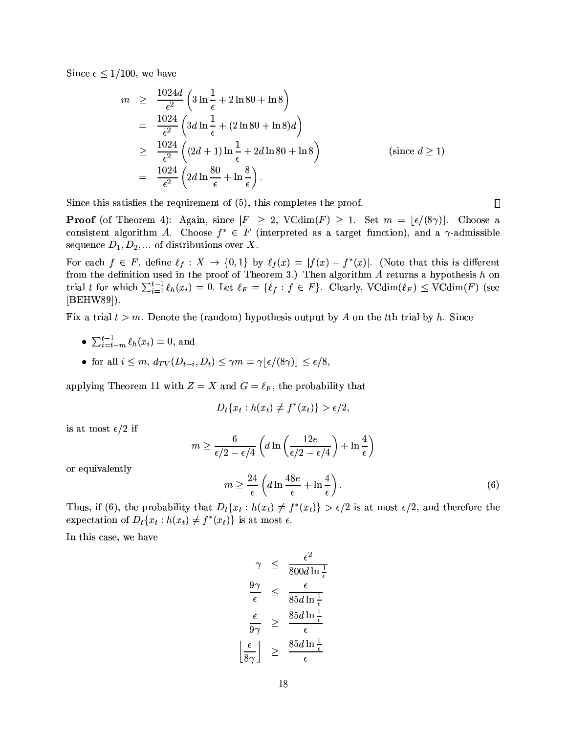Since  $\epsilon \leq 1/100$ , we have

$$
m \geq \frac{1024d}{\epsilon^2} \left( 3 \ln \frac{1}{\epsilon} + 2 \ln 80 + \ln 8 \right)
$$
  
= 
$$
\frac{1024}{\epsilon^2} \left( 3d \ln \frac{1}{\epsilon} + (2 \ln 80 + \ln 8)d \right)
$$
  

$$
\geq \frac{1024}{\epsilon^2} \left( (2d+1) \ln \frac{1}{\epsilon} + 2d \ln 80 + \ln 8 \right)
$$
 (since  $d \geq 1$ )  
= 
$$
\frac{1024}{\epsilon^2} \left( 2d \ln \frac{80}{\epsilon} + \ln \frac{8}{\epsilon} \right).
$$

Since this satisfies the requirement of  $(5)$ , this completes the proof.

**Proof** (of Theorem 4): Again, since  $|F| \geq 2$ , VCdim(F)  $\geq 1$ . Set  $m = \lfloor \frac{\epsilon}{8\gamma} \rfloor$ . Choose a consistent algorithm A. Choose  $f^* \in F$  (interpreted as a target function), and a  $\gamma$ -admissible sequence  $D_1, D_2, \dots$  of distributions over X.

For each  $f \in F$ , define  $\ell_f: X \to \{0,1\}$  by  $\ell_f(x) = |f(x) - f^*(x)|$ . (Note that this is different from the definition used in the proof of Theorem 3.) Then algorithm  $A$  returns a hypothesis  $h$  on trial t for which  $\sum_{i=1}^{t-1} \ell_h(x_i) = 0$ . Let  $\ell_F = \{\ell_f : f \in F\}$ . Clearly, VCdim $(\ell_F) \leq \text{VCdim}(F)$  (see  $[BEHW89]$ ).

Fix a trial  $t > m$ . Denote the (random) hypothesis output by A on the tth trial by h. Since

- $\sum_{i=1}^{t-1} \phi_h(x_i) = 0$ , and
- for all  $i \leq m$ ,  $d_{TV}(D_{t-i}, D_t) \leq \gamma m = \gamma |\epsilon/(8\gamma)| \leq \epsilon/8$ ,

applying Theorem 11 with  $Z = X$  and  $G = \ell_F$ , the probability that

$$
D_t\{x_t: h(x_t) \neq f^*(x_t)\} > \epsilon/2,
$$

is at most  $\epsilon/2$  if

$$
m \ge \frac{6}{\epsilon/2 - \epsilon/4} \left( d \ln \left( \frac{12e}{\epsilon/2 - \epsilon/4} \right) + \ln \frac{4}{\epsilon} \right)
$$

or equivalently

$$
m \ge \frac{24}{\epsilon} \left( d \ln \frac{48e}{\epsilon} + \ln \frac{4}{\epsilon} \right). \tag{6}
$$

Thus, if (6), the probability that  $D_t\{x_t : h(x_t) \neq f^*(x_t)\} > \epsilon/2$  is at most  $\epsilon/2$ , and therefore the expectation of  $D_t\{x_t: h(x_t) \neq f^*(x_t)\}\)$  is at most  $\epsilon$ .

In this case, we have

$$
\gamma \leq \frac{\epsilon^2}{800d \ln \frac{1}{\epsilon}}
$$
\n
$$
\frac{9\gamma}{\epsilon} \leq \frac{\epsilon}{85d \ln \frac{1}{\epsilon}}
$$
\n
$$
\frac{\epsilon}{9\gamma} \geq \frac{85d \ln \frac{1}{\epsilon}}{\epsilon}
$$
\n
$$
\frac{\epsilon}{8\gamma} \leq \frac{85d \ln \frac{1}{\epsilon}}{\epsilon}
$$

 $\Box$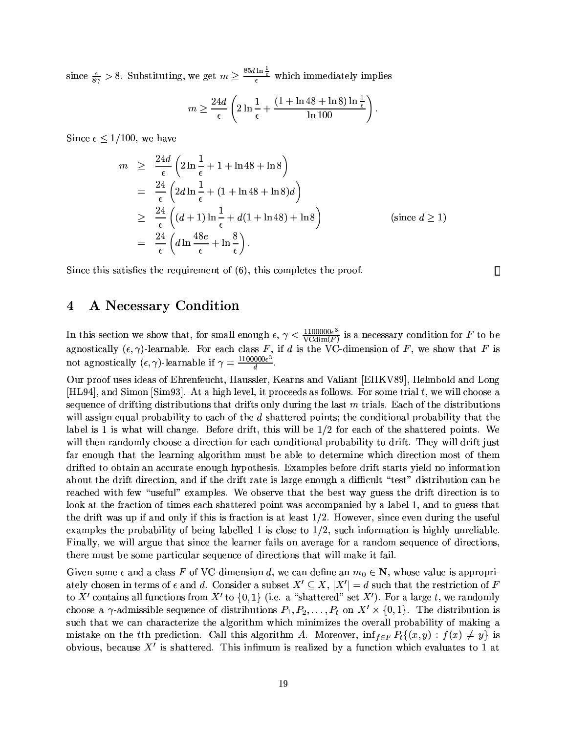since  $\frac{\epsilon}{8\gamma} > 8$ . Substituting, we get  $m \geq \frac{85d \ln \frac{1}{\epsilon}}{\epsilon}$  which immediately implies

$$
m \ge \frac{24d}{\epsilon} \left( 2 \ln \frac{1}{\epsilon} + \frac{(1 + \ln 48 + \ln 8) \ln \frac{1}{\epsilon}}{\ln 100} \right)
$$

Since  $\epsilon \leq 1/100$ , we have

$$
m \geq \frac{24d}{\epsilon} \left( 2 \ln \frac{1}{\epsilon} + 1 + \ln 48 + \ln 8 \right)
$$
  
= 
$$
\frac{24}{\epsilon} \left( 2d \ln \frac{1}{\epsilon} + (1 + \ln 48 + \ln 8)d \right)
$$
  

$$
\geq \frac{24}{\epsilon} \left( (d+1) \ln \frac{1}{\epsilon} + d(1 + \ln 48) + \ln 8 \right)
$$
 (since  $d \geq 1$ )  
= 
$$
\frac{24}{\epsilon} \left( d \ln \frac{48e}{\epsilon} + \ln \frac{8}{\epsilon} \right).
$$

 $\Box$ 

Since this satisfies the requirement of  $(6)$ , this completes the proof.

#### $\boldsymbol{4}$ A Necessary Condition

In this section we show that, for small enough  $\epsilon$ ,  $\gamma < \frac{1100000\epsilon^3}{\text{VCdim}(F)}$  is a necessary condition for F to be agnostically  $(\epsilon, \gamma)$ -learnable. For each class F, if d is the VC-dimension of F, we show that F is not agnostically  $(\epsilon, \gamma)$ -learnable if  $\gamma = \frac{1100000 \epsilon^3}{d}$ .

Our proof uses ideas of Ehrenfeucht, Haussler, Kearns and Valiant [EHKV89], Helmbold and Long [HL94], and Simon [Sim93]. At a high level, it proceeds as follows. For some trial  $t$ , we will choose a sequence of drifting distributions that drifts only during the last  $m$  trials. Each of the distributions will assign equal probability to each of the d shattered points; the conditional probability that the label is 1 is what will change. Before drift, this will be  $1/2$  for each of the shattered points. We will then randomly choose a direction for each conditional probability to drift. They will drift just far enough that the learning algorithm must be able to determine which direction most of them drifted to obtain an accurate enough hypothesis. Examples before drift starts yield no information about the drift direction, and if the drift rate is large enough a difficult "test" distribution can be reached with few "useful" examples. We observe that the best way guess the drift direction is to look at the fraction of times each shattered point was accompanied by a label 1, and to guess that the drift was up if and only if this is fraction is at least  $1/2$ . However, since even during the useful examples the probability of being labelled 1 is close to  $1/2$ , such information is highly unreliable. Finally, we will argue that since the learner fails on average for a random sequence of directions. there must be some particular sequence of directions that will make it fail.

Given some  $\epsilon$  and a class F of VC-dimension d, we can define an  $m_0 \in \mathbb{N}$ , whose value is appropriately chosen in terms of  $\epsilon$  and d. Consider a subset  $X' \subseteq X$ ,  $|X'| = d$  such that the restriction of F to X' contains all functions from X' to  $\{0,1\}$  (i.e. a "shattered" set X'). For a large t, we randomly choose a  $\gamma$ -admissible sequence of distributions  $P_1, P_2, \ldots, P_t$  on  $X' \times \{0, 1\}$ . The distribution is such that we can characterize the algorithm which minimizes the overall probability of making a mistake on the tth prediction. Call this algorithm A. Moreover,  $\inf_{f \in F} P_t((x, y) : f(x) \neq y)$  is obvious, because  $X'$  is shattered. This infimum is realized by a function which evaluates to 1 at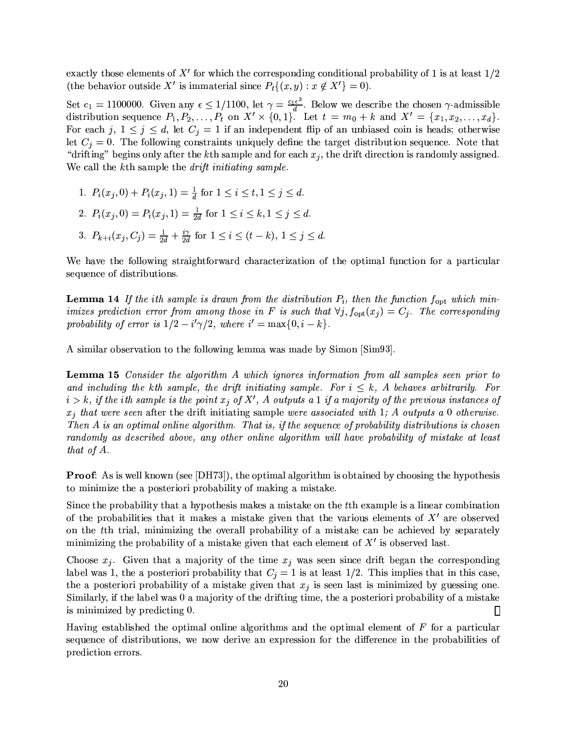exactly those elements of  $X'$  for which the corresponding conditional probability of 1 is at least  $1/2$ (the behavior outside X' is immaterial since  $P_t\{(x,y): x \notin X'\}=0$ ).

Set  $c_1 = 1100000$ . Given any  $\epsilon \le 1/1100$ , let  $\gamma = \frac{c_1 \epsilon^3}{d}$ . Below we describe the chosen  $\gamma$ -admissible distribution sequence  $P_1, P_2, \ldots, P_t$  on  $X' \times \{0, 1\}$ . Let  $t = m_0 + k$  and  $X' = \{x_1, x_2, \ldots, x_d\}$ . For each j,  $1 \leq j \leq d$ , let  $C_j = 1$  if an independent flip of an unbiased coin is heads; otherwise let  $C_i = 0$ . The following constraints uniquely define the target distribution sequence. Note that "drifting" begins only after the k<sup>th</sup> sample and for each  $x_i$ , the drift direction is randomly assigned. We call the kth sample the *drift initiating sample*.

1. 
$$
P_i(x_j, 0) + P_i(x_j, 1) = \frac{1}{d} \text{ for } 1 \le i \le t, 1 \le j \le d.
$$
  
\n2.  $P_i(x_j, 0) = P_i(x_j, 1) = \frac{1}{2d} \text{ for } 1 \le i \le k, 1 \le j \le d.$   
\n3.  $P_{k+i}(x_j, C_j) = \frac{1}{2d} + \frac{i\gamma}{2d} \text{ for } 1 \le i \le (t - k), 1 \le j \le d.$ 

We have the following straightforward characterization of the optimal function for a particular sequence of distributions.

**Lemma 14** If the ith sample is drawn from the distribution  $P_i$ , then the function  $f_{\text{opt}}$  which minimizes prediction error from among those in F is such that  $\forall j, f_{\text{opt}}(x_j) = C_j$ . The corresponding probability of error is  $1/2 - i'\gamma/2$ , where  $i' = \max\{0, i - k\}.$ 

A similar observation to the following lemma was made by Simon [Sim93].

**Lemma 15** Consider the algorithm A which ignores information from all samples seen prior to and including the kth sample, the drift initiating sample. For  $i \leq k$ , A behaves arbitrarily. For  $i > k$ , if the ith sample is the point  $x_j$  of X', A outputs a 1 if a majority of the previous instances of  $x_i$  that were seen after the drift initiating sample were associated with 1; A outputs a 0 otherwise. Then A is an optimal online algorithm. That is, if the sequence of probability distributions is chosen randomly as described above, any other online algorithm will have probability of mistake at least that of A.

**Proof:** As is well known (see [DH73]), the optimal algorithm is obtained by choosing the hypothesis to minimize the a posteriori probability of making a mistake.

Since the probability that a hypothesis makes a mistake on the tth example is a linear combination of the probabilities that it makes a mistake given that the various elements of  $X'$  are observed on the t<sup>th</sup> trial, minimizing the overall probability of a mistake can be achieved by separately minimizing the probability of a mistake given that each element of  $X'$  is observed last.

Choose  $x_i$ . Given that a majority of the time  $x_i$  was seen since drift began the corresponding label was 1, the a posteriori probability that  $C_j = 1$  is at least 1/2. This implies that in this case, the a posteriori probability of a mistake given that  $x_j$  is seen last is minimized by guessing one. Similarly, if the label was 0 a majority of the drifting time, the a posteriori probability of a mistake is minimized by predicting 0.  $\Box$ 

Having established the optimal online algorithms and the optimal element of  $F$  for a particular sequence of distributions, we now derive an expression for the difference in the probabilities of prediction errors.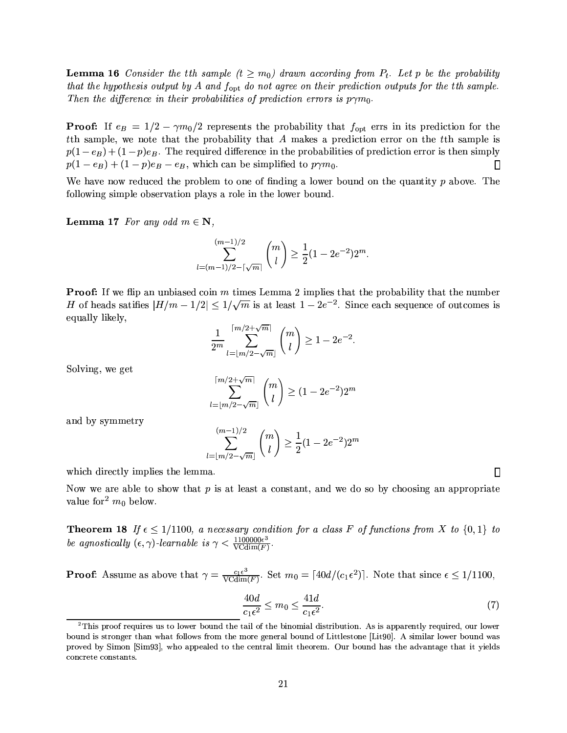**Lemma 16** Consider the tth sample  $(t \geq m_0)$  drawn according from  $P_t$ . Let p be the probability that the hypothesis output by A and  $f_{\text{opt}}$  do not agree on their prediction outputs for the tth sample. Then the difference in their probabilities of prediction errors is  $p\gamma m_0$ .

**Proof:** If  $e_B = 1/2 - \gamma m_0/2$  represents the probability that  $f_{\text{opt}}$  errs in its prediction for the the sample, we note that the probability that A makes a prediction error on the the sample is  $p(1-e_B) + (1-p)e_B$ . The required difference in the probabilities of prediction error is then simply  $p(1-e_B) + (1-p)e_B - e_B$ , which can be simplified to  $p\gamma m_0$ .  $\Box$ 

We have now reduced the problem to one of finding a lower bound on the quantity  $p$  above. The following simple observation plays a role in the lower bound.

**Lemma 17** For any odd  $m \in \mathbb{N}$ ,

$$
\sum_{l=(m-1)/2-\lceil \sqrt{m} \rceil}^{(m-1)/2} \binom{m}{l} \ge \frac{1}{2} (1-2e^{-2}) 2^m.
$$

**Proof:** If we flip an unbiased coin m times Lemma 2 implies that the probability that the number H of heads satifies  $|H/m - 1/2| \leq 1/\sqrt{m}$  is at least  $1 - 2e^{-2}$ . Since each sequence of outcomes is equally likely,

$$
\frac{1}{2^m} \sum_{l=\lfloor m/2-\sqrt{m} \rfloor}^{ \lceil m/2+\sqrt{m} \rceil} \binom{m}{l} \ge 1 - 2e^{-2}.
$$

Solving, we get

$$
\sum_{l=\lfloor m/2-\sqrt{m}\rfloor}^{\lceil m/2+\sqrt{m}\rceil} \binom{m}{l} \ge (1-2e^{-2})2^m
$$

and by symmetry

$$
\sum_{l=\lfloor m/2-\sqrt{m}\rfloor}^{(m-1)/2}\binom{m}{l}\geq \frac{1}{2}(1-2e^{-2})2^m
$$

which directly implies the lemma.

Now we are able to show that  $p$  is at least a constant, and we do so by choosing an appropriate value for  $m_0$  below.

**Theorem 18** If  $\epsilon \le 1/1100$ , a necessary condition for a class F of functions from X to  $\{0,1\}$  to be agnostically  $(\epsilon, \gamma)$ -learnable is  $\gamma < \frac{1100000\epsilon^3}{\text{VCdim}(F)}$ 

**Proof:** Assume as above that  $\gamma = \frac{c_1 \epsilon^3}{\text{VCdim}(F)}$ . Set  $m_0 = \lceil 40d/(c_1 \epsilon^2) \rceil$ . Note that since  $\epsilon \leq 1/1100$ ,

$$
\frac{40d}{c_1\epsilon^2} \le m_0 \le \frac{41d}{c_1\epsilon^2}.\tag{7}
$$

▯

 $2$ This proof requires us to lower bound the tail of the binomial distribution. As is apparently required, our lower bound is stronger than what follows from the more general bound of Littlestone [Lit90]. A similar lower bound was proved by Simon [Sim93], who appealed to the central limit theorem. Our bound has the advantage that it yields concrete constants.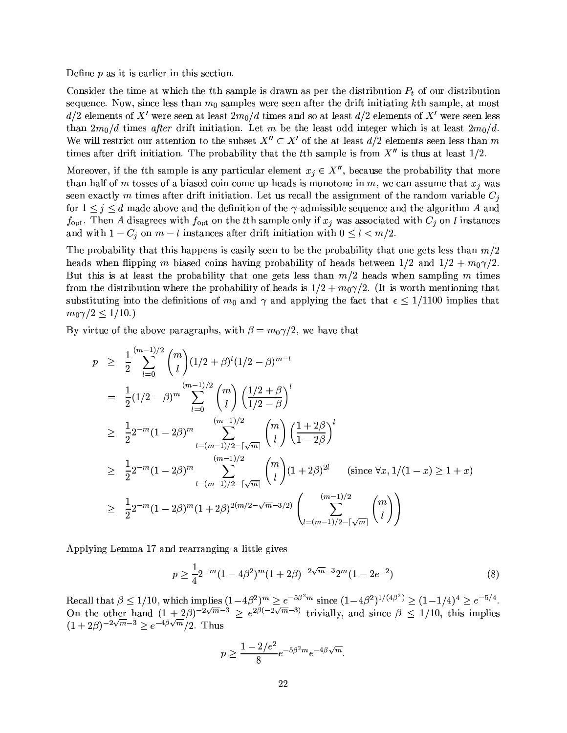Define  $p$  as it is earlier in this section.

Consider the time at which the tth sample is drawn as per the distribution  $P_t$  of our distribution sequence. Now, since less than  $m_0$  samples were seen after the drift initiating kth sample, at most  $d/2$  elements of X' were seen at least  $2m_0/d$  times and so at least  $d/2$  elements of X' were seen less than  $2m_0/d$  times after drift initiation. Let m be the least odd integer which is at least  $2m_0/d$ . We will restrict our attention to the subset  $X'' \subset X'$  of the at least  $d/2$  elements seen less than m times after drift initiation. The probability that the tth sample is from  $X''$  is thus at least  $1/2$ .

Moreover, if the tth sample is any particular element  $x_i \in X''$ , because the probability that more than half of m tosses of a biased coin come up heads is monotone in m, we can assume that  $x_i$  was seen exactly m times after drift initiation. Let us recall the assignment of the random variable  $C_i$ for  $1 \leq j \leq d$  made above and the definition of the  $\gamma$ -admissible sequence and the algorithm A and  $f_{\text{opt}}$ . Then A disagrees with  $f_{\text{opt}}$  on the tth sample only if  $x_j$  was associated with  $C_j$  on l instances and with  $1 - C_j$  on  $m - l$  instances after drift initiation with  $0 \leq l < m/2$ .

The probability that this happens is easily seen to be the probability that one gets less than  $m/2$ heads when flipping m biased coins having probability of heads between  $1/2$  and  $1/2 + m_0 \gamma/2$ . But this is at least the probability that one gets less than  $m/2$  heads when sampling m times from the distribution where the probability of heads is  $1/2 + m_0 \gamma/2$ . (It is worth mentioning that substituting into the definitions of  $m_0$  and  $\gamma$  and applying the fact that  $\epsilon \leq 1/1100$  implies that  $m_0\gamma/2 \leq 1/10.$ 

By virtue of the above paragraphs, with  $\beta = m_0 \gamma/2$ , we have that

$$
p \geq \frac{1}{2} \sum_{l=0}^{(m-1)/2} {m \choose l} (1/2 + \beta)^l (1/2 - \beta)^{m-l}
$$
  
\n
$$
= \frac{1}{2} (1/2 - \beta)^m \sum_{l=0}^{(m-1)/2} {m \choose l} \left(\frac{1/2 + \beta}{1/2 - \beta}\right)^l
$$
  
\n
$$
\geq \frac{1}{2} 2^{-m} (1 - 2\beta)^m \sum_{l=(m-1)/2 - \lceil \sqrt{m} \rceil}^{(m-1)/2} {m \choose l} \left(\frac{1 + 2\beta}{1 - 2\beta}\right)^l
$$
  
\n
$$
\geq \frac{1}{2} 2^{-m} (1 - 2\beta)^m \sum_{l=(m-1)/2 - \lceil \sqrt{m} \rceil}^{(m-1)/2} {m \choose l} (1 + 2\beta)^{2l} \text{ (since } \forall x, 1/(1 - x) \geq 1 + x)
$$
  
\n
$$
\geq \frac{1}{2} 2^{-m} (1 - 2\beta)^m (1 + 2\beta)^{2(m/2 - \sqrt{m} - 3/2)} \left(\sum_{l=(m-1)/2 - \lceil \sqrt{m} \rceil}^{(m-1)/2} {m \choose l} \right)
$$

Applying Lemma 17 and rearranging a little gives

$$
p \ge \frac{1}{4} 2^{-m} (1 - 4\beta^2)^m (1 + 2\beta)^{-2\sqrt{m}-3} 2^m (1 - 2e^{-2})
$$
\n(8)

Recall that  $\beta \le 1/10$ , which implies  $(1-4\beta^2)^m \ge e^{-5\beta^2 m}$  since  $(1-4\beta^2)^{1/(4\beta^2)} \ge (1-1/4)^4 \ge e^{-5/4}$ .<br>On the other hand  $(1+2\beta)^{-2\sqrt{m}-3} \ge e^{2\beta(-2\sqrt{m}-3)}$  trivially, and since  $\beta \le 1/10$ , this implies  $(1+2\beta)^{-2\sqrt{m}-3} \geq e^{-4\beta\sqrt{m}}/2$ . Thus

$$
p \ge \frac{1 - 2/e^2}{8} e^{-5\beta^2 m} e^{-4\beta \sqrt{m}}
$$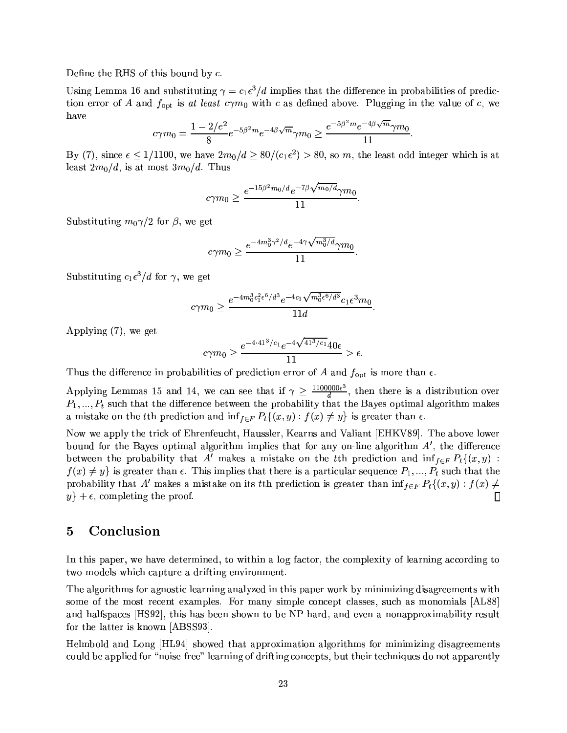Define the RHS of this bound by  $c$ .

Using Lemma 16 and substituting  $\gamma = c_1 \epsilon^3 / d$  implies that the difference in probabilities of prediction error of A and  $f_{\text{opt}}$  is at least  $c\gamma m_0$  with c as defined above. Plugging in the value of c, we have

$$
c\gamma m_0 = \frac{1 - 2/e^2}{8} e^{-5\beta^2 m} e^{-4\beta \sqrt{m}} \gamma m_0 \ge \frac{e^{-5\beta^2 m} e^{-4\beta \sqrt{m}} \gamma m_0}{11}
$$

By (7), since  $\epsilon \leq 1/1100$ , we have  $2m_0/d \geq 80/(c_1\epsilon^2) > 80$ , so m, the least odd integer which is at least  $2m_0/d$ , is at most  $3m_0/d$ . Thus

$$
c\gamma m_0 \geq \frac{e^{-15\beta^2 m_0/d}e^{-7\beta\sqrt{m_0/d}}\gamma m_0}{11}
$$

Substituting  $m_0\gamma/2$  for  $\beta$ , we get

$$
c\gamma m_0 \geq \frac{e^{-4m_0^3\gamma^2/d}e^{-4\gamma\sqrt{m_0^3/d}}\gamma m_0}{11}
$$

Substituting  $c_1 \epsilon^3 / d$  for  $\gamma$ , we get

$$
c\gamma m_0\geq \frac{e^{-4m_0^3c_1^2\epsilon^6/d^3}e^{-4c_1\sqrt{m_0^3\epsilon^6/d^3}}c_1\epsilon^3m_0}{11d}.
$$

Applying  $(7)$ , we get

$$
c\gamma m_0 \ge \frac{e^{-4 \cdot 41^3/c_1} e^{-4\sqrt{41^3/c_1}} 40\epsilon}{11} > \epsilon.
$$

Thus the difference in probabilities of prediction error of A and  $f_{\text{opt}}$  is more than  $\epsilon$ .

Applying Lemmas 15 and 14, we can see that if  $\gamma \geq \frac{1100000e^3}{d}$ , then there is a distribution over  $P_1, ..., P_t$  such that the difference between the probability that the Bayes optimal algorithm makes a mistake on the tth prediction and  $\inf_{f \in F} P_t \{(x, y) : f(x) \neq y\}$  is greater than  $\epsilon$ .

Now we apply the trick of Ehrenfeucht, Haussler, Kearns and Valiant [EHKV89]. The above lower bound for the Bayes optimal algorithm implies that for any on-line algorithm  $A'$ , the difference between the probability that A' makes a mistake on the the prediction and  $\inf_{f \in F} P_t$   $\{(x, y)$ :  $f(x) \neq y$  is greater than  $\epsilon$ . This implies that there is a particular sequence  $P_1, ..., P_t$  such that the probability that A' makes a mistake on its tth prediction is greater than  $\inf_{f \in F} P_t((x, y) : f(x) \neq 0)$  $y$  +  $\epsilon$ , completing the proof. □

#### $\overline{5}$ Conclusion

In this paper, we have determined, to within a log factor, the complexity of learning according to two models which capture a drifting environment.

The algorithms for agnostic learning analyzed in this paper work by minimizing disagreements with some of the most recent examples. For many simple concept classes, such as monomials [AL88] and halfspaces [HS92], this has been shown to be NP-hard, and even a nonapproximability result for the latter is known [ABSS93].

Helmbold and Long [HL94] showed that approximation algorithms for minimizing disagreements could be applied for "noise-free" learning of drifting concepts, but their techniques do not apparently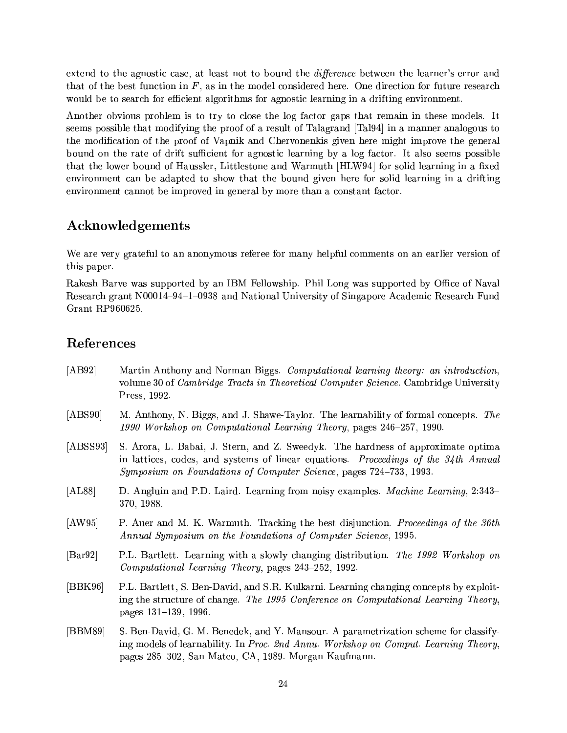extend to the agnostic case, at least not to bound the *difference* between the learner's error and that of the best function in  $F$ , as in the model considered here. One direction for future research would be to search for efficient algorithms for agnostic learning in a drifting environment.

Another obvious problem is to try to close the log factor gaps that remain in these models. It seems possible that modifying the proof of a result of Talagrand [Tal94] in a manner analogous to the modification of the proof of Vapnik and Chervonenkis given here might improve the general bound on the rate of drift sufficient for agnostic learning by a log factor. It also seems possible that the lower bound of Haussler, Littlestone and Warmuth [HLW94] for solid learning in a fixed environment can be adapted to show that the bound given here for solid learning in a drifting environment cannot be improved in general by more than a constant factor.

### Acknowledgements

We are very grateful to an anonymous referee for many helpful comments on an earlier version of this paper.

Rakesh Barve was supported by an IBM Fellowship. Phil Long was supported by Office of Naval Research grant N00014-94-1-0938 and National University of Singapore Academic Research Fund Grant RP960625.

### References

- $[AB92]$ Martin Anthony and Norman Biggs. Computational learning theory: an introduction, volume 30 of *Cambridge Tracts in Theoretical Computer Science*. Cambridge University Press, 1992.  $[ABS90]$ M. Anthony, N. Biggs, and J. Shawe-Taylor. The learnability of formal concepts. The 1990 Workshop on Computational Learning Theory, pages 246–257, 1990. S. Arora, L. Babai, J. Stern, and Z. Sweedyk. The hardness of approximate optima  $[ABSS93]$ in lattices, codes, and systems of linear equations. Proceedings of the 34th Annual Symposium on Foundations of Computer Science, pages 724–733, 1993.  $[AL88]$ D. Angluin and P.D. Laird. Learning from noisy examples. *Machine Learning*, 2:343– 370, 1988.  $[AW95]$ P. Auer and M. K. Warmuth. Tracking the best disjunction. Proceedings of the 36th Annual Symposium on the Foundations of Computer Science, 1995.  $\left|\text{Bar}92\right|$ P.L. Bartlett. Learning with a slowly changing distribution. The 1992 Workshop on *Computational Learning Theory*, pages 243–252, 1992. P.L. Bartlett, S. Ben-David, and S.R. Kulkarni. Learning changing concepts by exploit- $[BBK96]$ ing the structure of change. The 1995 Conference on Computational Learning Theory, pages 131-139, 1996.
- $[BBM89]$ S. Ben-David, G. M. Benedek, and Y. Mansour. A parametrization scheme for classifying models of learnability. In Proc. 2nd Annu. Workshop on Comput. Learning Theory, pages 285–302, San Mateo, CA, 1989. Morgan Kaufmann.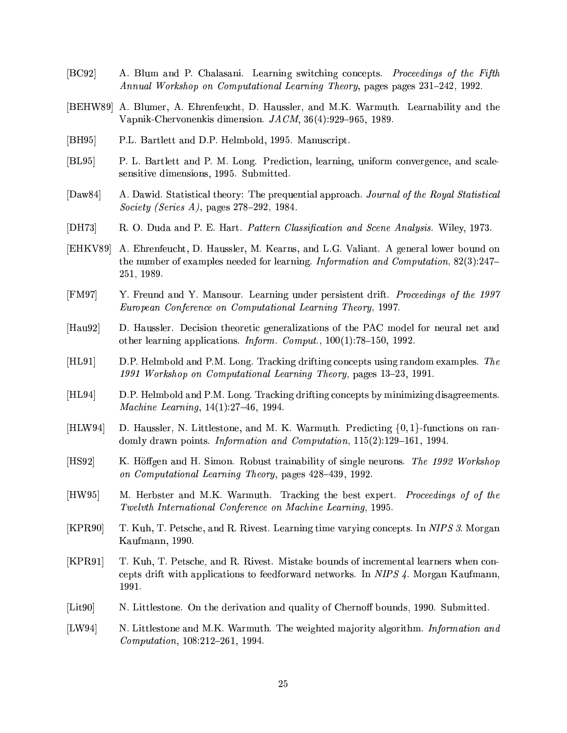- $|BC92|$ A. Blum and P. Chalasani. Learning switching concepts. Proceedings of the Fifth Annual Workshop on Computational Learning Theory, pages pages 231-242, 1992.
- [BEHW89] A. Blumer, A. Ehrenfeucht, D. Haussler, and M.K. Warmuth. Learnability and the Vapnik-Chervonenkis dimension.  $JACM$ ,  $36(4):929-965$ , 1989.
- $[BH95]$ P.L. Bartlett and D.P. Helmbold, 1995. Manuscript.
- $|BL95|$ P. L. Bartlett and P. M. Long. Prediction, learning, uniform convergence, and scalesensitive dimensions, 1995. Submitted.
- $[$ Daw84 $]$ A. Dawid. Statistical theory: The prequential approach. Journal of the Royal Statistical Society (Series A), pages  $278-292$ , 1984.
- $[DH73]$ R. O. Duda and P. E. Hart. Pattern Classification and Scene Analysis. Wiley, 1973.
- A. Ehrenfeucht, D. Haussler, M. Kearns, and L.G. Valiant. A general lower bound on  $[EHKV89]$ the number of examples needed for learning. Information and Computation,  $82(3):247-$ 251, 1989.
- $[FM97]$ Y. Freund and Y. Mansour. Learning under persistent drift. Proceedings of the 1997 European Conference on Computational Learning Theory, 1997.
- D. Haussler. Decision theoretic generalizations of the PAC model for neural net and  $[Hau92]$ other learning applications. *Inform. Comput.*,  $100(1)$ :78-150, 1992.
- $[HL91]$ D.P. Helmbold and P.M. Long. Tracking drifting concepts using random examples. The 1991 Workshop on Computational Learning Theory, pages 13–23, 1991.
- $[HL94]$ D.P. Helmbold and P.M. Long. Tracking drifting concepts by minimizing disagreements. Machine Learning,  $14(1):27-46$ , 1994.
- $[HIW94]$ D. Haussler, N. Littlestone, and M. K. Warmuth. Predicting  $\{0, 1\}$ -functions on randomly drawn points. *Information and Computation*,  $115(2):129-161$ , 1994.
- $[HS92]$ K. Höffgen and H. Simon. Robust trainability of single neurons. The 1992 Workshop on Computational Learning Theory, pages 428-439, 1992.
- $[HW95]$ M. Herbster and M.K. Warmuth. Tracking the best expert. *Proceedings of of the* Twelvth International Conference on Machine Learning, 1995.
- $[KPR90]$ T. Kuh, T. Petsche, and R. Rivest. Learning time varying concepts. In NIPS 3. Morgan Kaufmann, 1990.
- $[KPR91]$ T. Kuh, T. Petsche, and R. Rivest. Mistake bounds of incremental learners when concepts drift with applications to feedforward networks. In NIPS  $\ddot{A}$ . Morgan Kaufmann, 1991.
- $[Lit90]$ N. Littlestone. On the derivation and quality of Chernoff bounds, 1990. Submitted.
- $[LW94]$ N. Littlestone and M.K. Warmuth. The weighted majority algorithm. Information and Computation, 108:212-261, 1994.